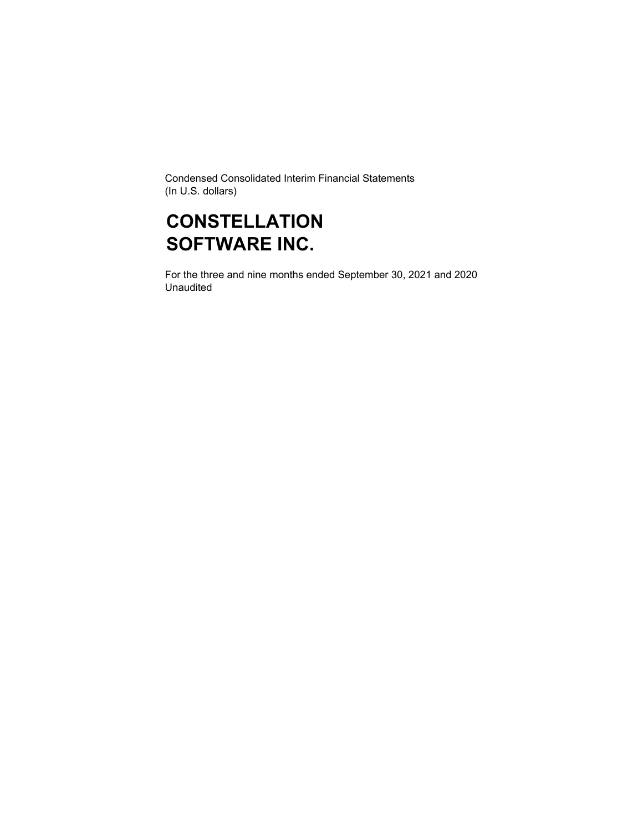Condensed Consolidated Interim Financial Statements (In U.S. dollars)

### **CONSTELLATION SOFTWARE INC.**

For the three and nine months ended September 30, 2021 and 2020 Unaudited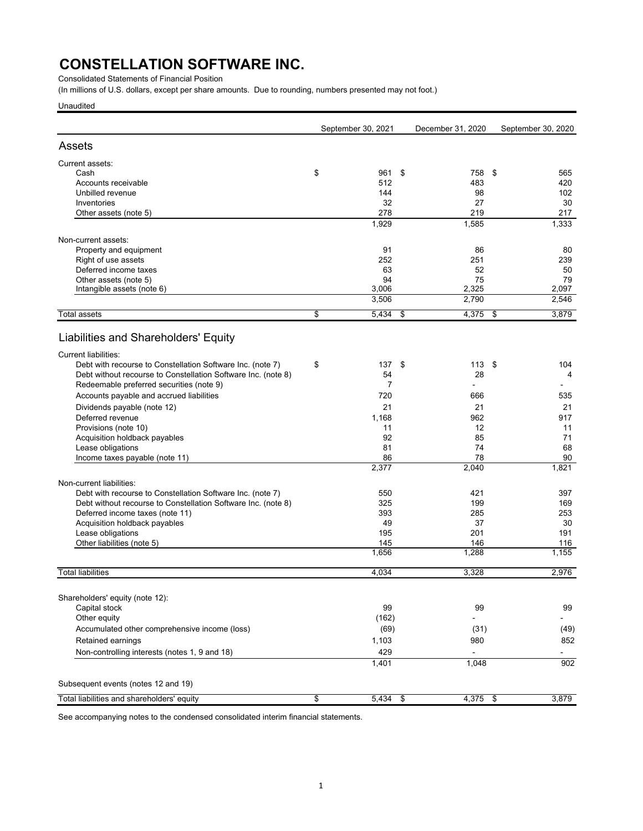Consolidated Statements of Financial Position

(In millions of U.S. dollars, except per share amounts. Due to rounding, numbers presented may not foot.)

Unaudited

| Assets<br>Current assets:<br>\$<br>Cash<br>Accounts receivable<br>Unbilled revenue<br>Inventories<br>Other assets (note 5)<br>Non-current assets:<br>Property and equipment<br>Right of use assets<br>Deferred income taxes<br>Other assets (note 5)<br>Intangible assets (note 6) | September 30, 2021 | December 31, 2020 | September 30, 2020 |
|------------------------------------------------------------------------------------------------------------------------------------------------------------------------------------------------------------------------------------------------------------------------------------|--------------------|-------------------|--------------------|
|                                                                                                                                                                                                                                                                                    |                    |                   |                    |
|                                                                                                                                                                                                                                                                                    |                    |                   |                    |
|                                                                                                                                                                                                                                                                                    | 961                | \$<br>758         | \$<br>565          |
|                                                                                                                                                                                                                                                                                    | 512                | 483               | 420                |
|                                                                                                                                                                                                                                                                                    | 144                | 98                | 102                |
|                                                                                                                                                                                                                                                                                    | 32                 | 27                | 30                 |
|                                                                                                                                                                                                                                                                                    | 278                | 219               | 217                |
|                                                                                                                                                                                                                                                                                    | 1,929              | 1,585             | 1,333              |
|                                                                                                                                                                                                                                                                                    |                    |                   |                    |
|                                                                                                                                                                                                                                                                                    | 91                 | 86                | 80                 |
|                                                                                                                                                                                                                                                                                    | 252                | 251               | 239                |
|                                                                                                                                                                                                                                                                                    | 63                 | 52                | 50                 |
|                                                                                                                                                                                                                                                                                    | 94                 | 75                | 79                 |
|                                                                                                                                                                                                                                                                                    | 3,006              | 2,325             | 2,097              |
|                                                                                                                                                                                                                                                                                    | 3,506              | 2,790             | 2,546              |
| \$<br>Total assets                                                                                                                                                                                                                                                                 | 5,434              | \$<br>4,375       | \$<br>3,879        |
| Liabilities and Shareholders' Equity                                                                                                                                                                                                                                               |                    |                   |                    |
| <b>Current liabilities:</b>                                                                                                                                                                                                                                                        |                    |                   |                    |
| \$<br>Debt with recourse to Constellation Software Inc. (note 7)                                                                                                                                                                                                                   | 137                | \$<br>113S        | 104                |
| Debt without recourse to Constellation Software Inc. (note 8)                                                                                                                                                                                                                      | 54                 | 28                | 4                  |
| Redeemable preferred securities (note 9)                                                                                                                                                                                                                                           | $\overline{7}$     |                   |                    |
| Accounts payable and accrued liabilities                                                                                                                                                                                                                                           | 720                | 666               | 535                |
| Dividends payable (note 12)                                                                                                                                                                                                                                                        | 21                 | 21                | 21                 |
| Deferred revenue                                                                                                                                                                                                                                                                   | 1,168              | 962               | 917                |
| Provisions (note 10)                                                                                                                                                                                                                                                               | 11                 | 12                | 11                 |
| Acquisition holdback payables                                                                                                                                                                                                                                                      | 92                 | 85                | 71                 |
| Lease obligations                                                                                                                                                                                                                                                                  | 81                 | 74                | 68                 |
| Income taxes payable (note 11)                                                                                                                                                                                                                                                     | 86                 | 78                | 90                 |
|                                                                                                                                                                                                                                                                                    | 2,377              | 2,040             | 1,821              |
| Non-current liabilities:                                                                                                                                                                                                                                                           |                    |                   |                    |
| Debt with recourse to Constellation Software Inc. (note 7)                                                                                                                                                                                                                         | 550                | 421               | 397                |
| Debt without recourse to Constellation Software Inc. (note 8)                                                                                                                                                                                                                      | 325                | 199               | 169                |
| Deferred income taxes (note 11)                                                                                                                                                                                                                                                    | 393                | 285               | 253                |
| Acquisition holdback payables                                                                                                                                                                                                                                                      | 49                 | 37                | 30                 |
| Lease obligations                                                                                                                                                                                                                                                                  | 195                | 201               | 191                |
| Other liabilities (note 5)                                                                                                                                                                                                                                                         | 145                | 146               | 116                |
|                                                                                                                                                                                                                                                                                    | 1,656              | 1,288             | 1,155              |
| <b>Total liabilities</b>                                                                                                                                                                                                                                                           | 4,034              | 3,328             | 2.976              |
|                                                                                                                                                                                                                                                                                    |                    |                   |                    |
| Shareholders' equity (note 12):                                                                                                                                                                                                                                                    |                    |                   |                    |
| Capital stock                                                                                                                                                                                                                                                                      | 99                 | 99                | 99                 |
| Other equity                                                                                                                                                                                                                                                                       | (162)              |                   |                    |
| Accumulated other comprehensive income (loss)                                                                                                                                                                                                                                      | (69)               | (31)              | (49)               |
| Retained earnings                                                                                                                                                                                                                                                                  | 1,103              | 980               | 852                |
| Non-controlling interests (notes 1, 9 and 18)                                                                                                                                                                                                                                      | 429                |                   |                    |
|                                                                                                                                                                                                                                                                                    | 1,401              | 1,048             | 902                |
| Subsequent events (notes 12 and 19)                                                                                                                                                                                                                                                |                    |                   |                    |
| Total liabilities and shareholders' equity<br>\$                                                                                                                                                                                                                                   | $5,434$ \$         | $4,375$ \$        | 3,879              |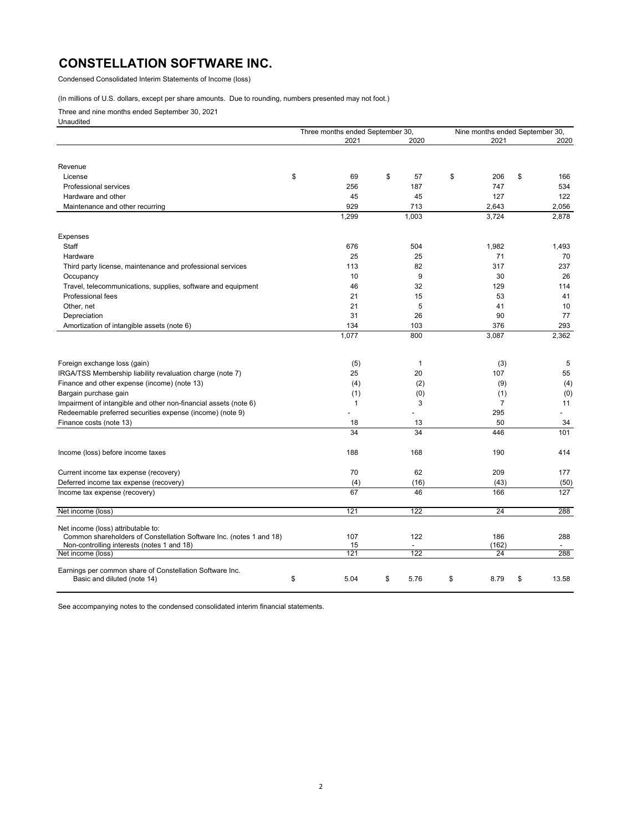Condensed Consolidated Interim Statements of Income (loss)

### (In millions of U.S. dollars, except per share amounts. Due to rounding, numbers presented may not foot.)

Three and nine months ended September 30, 2021

Unaudited

|                                                                     | Three months ended September 30, |              | Nine months ended September 30, |             |
|---------------------------------------------------------------------|----------------------------------|--------------|---------------------------------|-------------|
|                                                                     | 2021                             | 2020         | 2021                            | 2020        |
|                                                                     |                                  |              |                                 |             |
| Revenue                                                             |                                  |              |                                 |             |
| License                                                             | \$<br>69                         | \$<br>57     | \$<br>206                       | \$<br>166   |
| <b>Professional services</b>                                        | 256                              | 187          | 747                             | 534         |
| Hardware and other                                                  | 45                               | 45           | 127                             | 122         |
| Maintenance and other recurring                                     | 929                              | 713          | 2,643                           | 2,056       |
|                                                                     | 1,299                            | 1,003        | 3,724                           | 2,878       |
| Expenses                                                            |                                  |              |                                 |             |
| Staff                                                               | 676                              | 504          | 1,982                           | 1,493       |
| Hardware                                                            | 25                               | 25           | 71                              | 70          |
| Third party license, maintenance and professional services          | 113                              | 82           | 317                             | 237         |
| Occupancy                                                           | 10                               | 9            | 30                              | 26          |
| Travel, telecommunications, supplies, software and equipment        | 46                               | 32           | 129                             | 114         |
| Professional fees                                                   | 21                               | 15           | 53                              | 41          |
| Other, net                                                          | 21                               | 5            | 41                              | 10          |
| Depreciation                                                        | 31                               | 26           | 90                              | 77          |
| Amortization of intangible assets (note 6)                          | 134                              | 103          | 376                             | 293         |
|                                                                     | 1,077                            | 800          | 3,087                           | 2,362       |
|                                                                     |                                  |              |                                 |             |
| Foreign exchange loss (gain)                                        | (5)                              | $\mathbf{1}$ | (3)                             | 5           |
| IRGA/TSS Membership liability revaluation charge (note 7)           | 25                               | 20           | 107                             | 55          |
| Finance and other expense (income) (note 13)                        | (4)                              | (2)          | (9)                             | (4)         |
| Bargain purchase gain                                               | (1)                              | (0)          | (1)                             | (0)         |
| Impairment of intangible and other non-financial assets (note 6)    | $\mathbf{1}$                     | 3            | $\overline{7}$                  | 11          |
| Redeemable preferred securities expense (income) (note 9)           |                                  |              | 295                             |             |
| Finance costs (note 13)                                             | 18                               | 13           | 50                              | 34          |
|                                                                     | 34                               | 34           | 446                             | 101         |
| Income (loss) before income taxes                                   | 188                              | 168          | 190                             | 414         |
|                                                                     |                                  |              |                                 |             |
| Current income tax expense (recovery)                               | 70                               | 62           | 209                             | 177         |
| Deferred income tax expense (recovery)                              | (4)<br>67                        | (16)         | (43)                            | (50)        |
| Income tax expense (recovery)                                       |                                  | 46           | 166                             | 127         |
| Net income (loss)                                                   | 121                              | 122          | 24                              | 288         |
| Net income (loss) attributable to:                                  |                                  |              |                                 |             |
| Common shareholders of Constellation Software Inc. (notes 1 and 18) | 107                              | 122          | 186                             | 288         |
| Non-controlling interests (notes 1 and 18)                          | 15                               |              | (162)                           |             |
| Net income (loss)                                                   | 121                              | 122          | 24                              | 288         |
| Earnings per common share of Constellation Software Inc.            |                                  |              |                                 |             |
| Basic and diluted (note 14)                                         | \$<br>5.04                       | \$<br>5.76   | \$<br>8.79                      | \$<br>13.58 |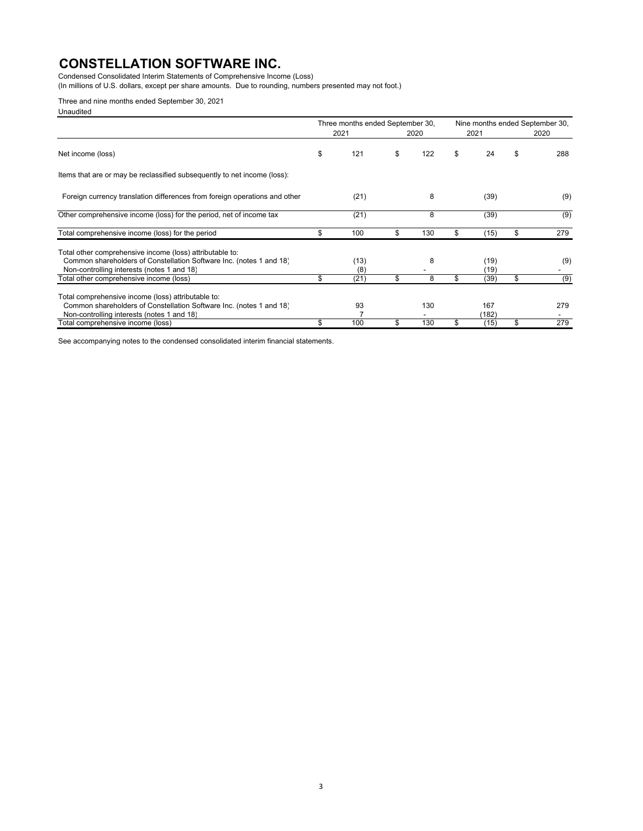Condensed Consolidated Interim Statements of Comprehensive Income (Loss)

(In millions of U.S. dollars, except per share amounts. Due to rounding, numbers presented may not foot.)

### Three and nine months ended September 30, 2021

Unaudited

|                                                                                                                                                                               | Three months ended September 30, |           |    | Nine months ended September 30, |    |      |
|-------------------------------------------------------------------------------------------------------------------------------------------------------------------------------|----------------------------------|-----------|----|---------------------------------|----|------|
|                                                                                                                                                                               | 2021                             | 2020      |    | 2021                            |    | 2020 |
| Net income (loss)                                                                                                                                                             | \$<br>121                        | \$<br>122 | \$ | 24                              | \$ | 288  |
| Items that are or may be reclassified subsequently to net income (loss):                                                                                                      |                                  |           |    |                                 |    |      |
| Foreign currency translation differences from foreign operations and other                                                                                                    | (21)                             | 8         |    | (39)                            |    | (9)  |
| Other comprehensive income (loss) for the period, net of income tax                                                                                                           | (21)                             | 8         |    | (39)                            |    | (9)  |
| Total comprehensive income (loss) for the period                                                                                                                              | \$<br>100                        | \$<br>130 | \$ | (15)                            | \$ | 279  |
| Total other comprehensive income (loss) attributable to:<br>Common shareholders of Constellation Software Inc. (notes 1 and 18)<br>Non-controlling interests (notes 1 and 18) | (13)<br>(8)                      | 8         |    | (19)<br>(19)                    |    | (9)  |
| Total other comprehensive income (loss)                                                                                                                                       | \$<br>(21)                       | \$<br>8   | \$ | (39)                            | \$ | (9)  |
| Total comprehensive income (loss) attributable to:<br>Common shareholders of Constellation Software Inc. (notes 1 and 18)<br>Non-controlling interests (notes 1 and 18)       | 93                               | 130       |    | 167<br>(182)                    |    | 279  |
| Total comprehensive income (loss)                                                                                                                                             | \$<br>100                        | \$<br>130 | \$ | (15)                            | \$ | 279  |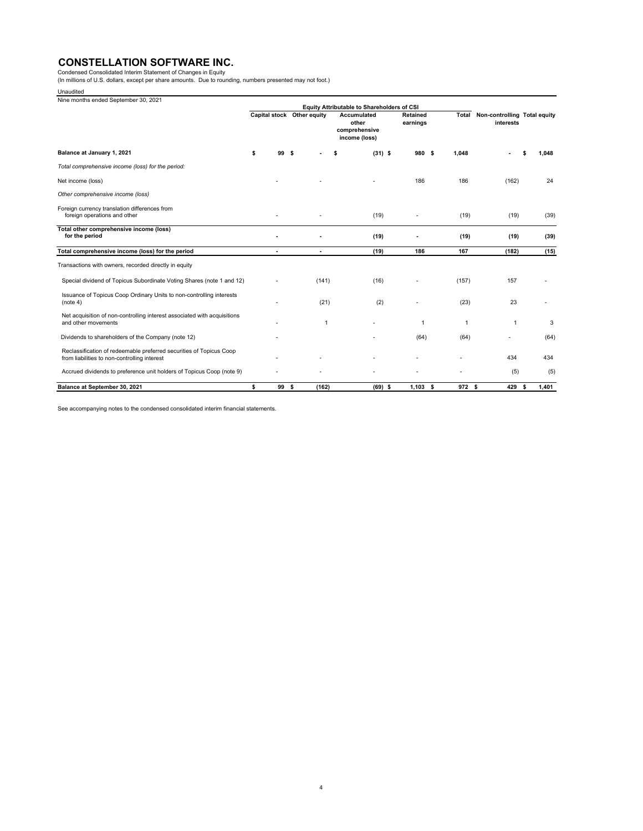Condensed Consolidated Interim Statement of Changes in Equity<br>(In millions of U.S. dollars, except per share amounts. Due to rounding, numbers presented may not foot.)

| Unaudited |
|-----------|
|-----------|

| Unaudited                                                                                                           |                            |       |              |                                                        |                      |        |                                           |               |
|---------------------------------------------------------------------------------------------------------------------|----------------------------|-------|--------------|--------------------------------------------------------|----------------------|--------|-------------------------------------------|---------------|
| Nine months ended September 30, 2021                                                                                |                            |       |              | Equity Attributable to Shareholders of CSI             |                      |        |                                           |               |
|                                                                                                                     | Capital stock Other equity |       |              | Accumulated<br>other<br>comprehensive<br>income (loss) | Retained<br>earnings | Total  | Non-controlling Total equity<br>interests |               |
| Balance at January 1, 2021                                                                                          | \$                         | 99 \$ |              | $(31)$ \$<br>\$                                        | 980 \$               | 1.048  |                                           | 1.048         |
| Total comprehensive income (loss) for the period:                                                                   |                            |       |              |                                                        |                      |        |                                           |               |
| Net income (loss)                                                                                                   |                            |       |              |                                                        | 186                  | 186    | (162)                                     | 24            |
| Other comprehensive income (loss)                                                                                   |                            |       |              |                                                        |                      |        |                                           |               |
| Foreign currency translation differences from<br>foreign operations and other                                       |                            |       |              | (19)                                                   |                      | (19)   | (19)                                      | (39)          |
| Total other comprehensive income (loss)<br>for the period                                                           |                            |       |              | (19)                                                   |                      | (19)   | (19)                                      | (39)          |
| Total comprehensive income (loss) for the period                                                                    |                            |       |              | (19)                                                   | 186                  | 167    | (182)                                     | (15)          |
| Transactions with owners, recorded directly in equity                                                               |                            |       |              |                                                        |                      |        |                                           |               |
| Special dividend of Topicus Subordinate Voting Shares (note 1 and 12)                                               |                            |       | (141)        | (16)                                                   |                      | (157)  | 157                                       |               |
| Issuance of Topicus Coop Ordinary Units to non-controlling interests<br>(note 4)                                    |                            |       | (21)         | (2)                                                    |                      | (23)   | 23                                        |               |
| Net acquisition of non-controlling interest associated with acquisitions<br>and other movements                     |                            |       | $\mathbf{1}$ |                                                        | $\mathbf{1}$         | 1      | 1                                         | 3             |
| Dividends to shareholders of the Company (note 12)                                                                  |                            |       |              |                                                        | (64)                 | (64)   |                                           | (64)          |
| Reclassification of redeemable preferred securities of Topicus Coop<br>from liabilities to non-controlling interest |                            |       |              |                                                        |                      |        | 434                                       | 434           |
| Accrued dividends to preference unit holders of Topicus Coop (note 9)                                               |                            |       |              |                                                        |                      |        | (5)                                       | (5)           |
| Balance at September 30, 2021                                                                                       | \$                         | 99 S  | (162)        | $(69)$ \$                                              | $1.103$ \$           | 972 \$ | 429                                       | 1.401<br>- \$ |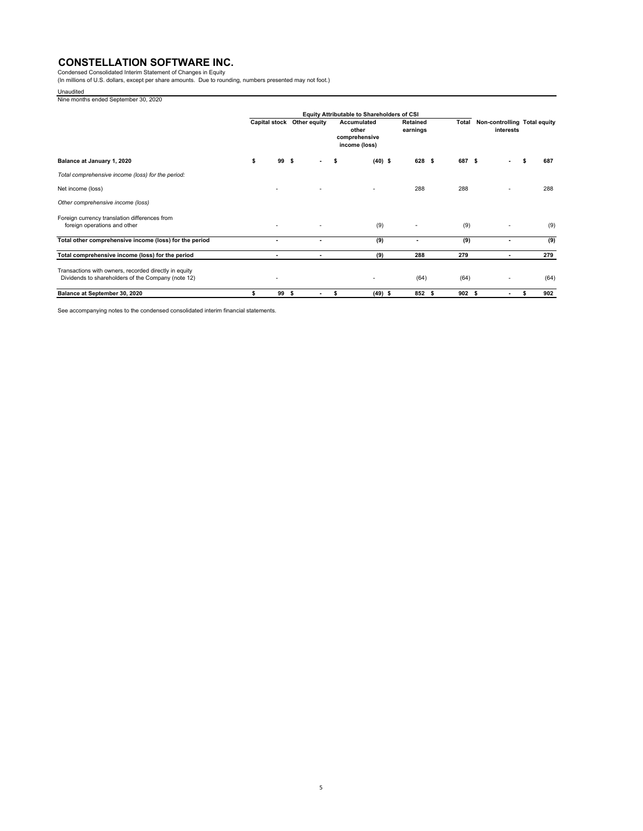Condensed Consolidated Interim Statement of Changes in Equity<br>(In millions of U.S. dollars, except per share amounts. Due to rounding, numbers presented may not foot.)

Unaudited Nine months ended September 30, 2020

|                                                                                                             |    |                      |    |                          | Equity Attributable to Shareholders of CSI                    |           |                      |        |                                           |      |
|-------------------------------------------------------------------------------------------------------------|----|----------------------|----|--------------------------|---------------------------------------------------------------|-----------|----------------------|--------|-------------------------------------------|------|
|                                                                                                             |    | <b>Capital stock</b> |    | Other equity             | <b>Accumulated</b><br>other<br>comprehensive<br>income (loss) |           | Retained<br>earnings | Total  | Non-controlling Total equity<br>interests |      |
| Balance at January 1, 2020                                                                                  | \$ | 99                   | s. | ٠                        | s                                                             | $(40)$ \$ | 628 \$               | 687 \$ |                                           | 687  |
| Total comprehensive income (loss) for the period:                                                           |    |                      |    |                          |                                                               |           |                      |        |                                           |      |
| Net income (loss)                                                                                           |    |                      |    |                          |                                                               |           | 288                  | 288    |                                           | 288  |
| Other comprehensive income (loss)                                                                           |    |                      |    |                          |                                                               |           |                      |        |                                           |      |
| Foreign currency translation differences from<br>foreign operations and other                               |    |                      |    |                          | (9)                                                           |           |                      | (9)    |                                           | (9)  |
| Total other comprehensive income (loss) for the period                                                      |    | ٠                    |    | ٠                        | (9)                                                           |           |                      | (9)    |                                           | (9)  |
| Total comprehensive income (loss) for the period                                                            |    |                      |    | $\overline{\phantom{a}}$ | (9)                                                           |           | 288                  | 279    | $\overline{\phantom{a}}$                  | 279  |
| Transactions with owners, recorded directly in equity<br>Dividends to shareholders of the Company (note 12) |    | ٠                    |    |                          | $\overline{a}$                                                |           | (64)                 | (64)   |                                           | (64) |
| Balance at September 30, 2020                                                                               | s. | 99 S                 |    | ٠                        | \$                                                            | $(49)$ \$ | 852 \$               | 902S   | $\overline{\phantom{a}}$                  | 902  |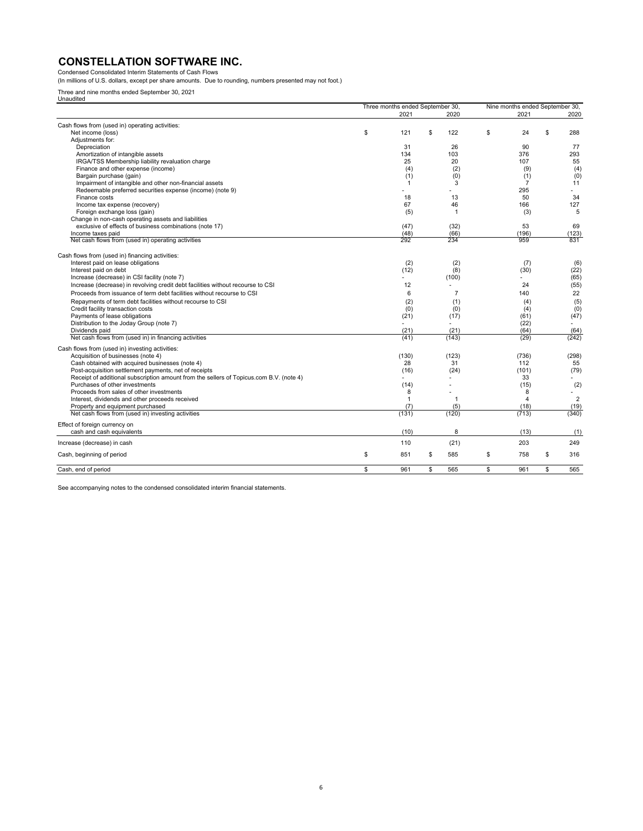Condensed Consolidated Interim Statements of Cash Flows (In millions of U.S. dollars, except per share amounts. Due to rounding, numbers presented may not foot.)

Three and nine months ended September 30, 2021 Unaudited

| Unauulleu                                                                               | Three months ended September 30, |                | Nine months ended September 30, |                          |
|-----------------------------------------------------------------------------------------|----------------------------------|----------------|---------------------------------|--------------------------|
|                                                                                         | 2021                             | 2020           | 2021                            | 2020                     |
|                                                                                         |                                  |                |                                 |                          |
| Cash flows from (used in) operating activities:<br>Net income (loss)                    | \$<br>121                        | \$<br>122      | \$<br>24                        | \$<br>288                |
| Adjustments for:                                                                        |                                  |                |                                 |                          |
| Depreciation                                                                            | 31                               | 26             | 90                              | 77                       |
| Amortization of intangible assets                                                       | 134                              | 103            | 376                             | 293                      |
| IRGA/TSS Membership liability revaluation charge                                        | 25                               | 20             | 107                             | 55                       |
| Finance and other expense (income)                                                      | (4)                              | (2)            | (9)                             | (4)                      |
|                                                                                         | (1)                              | (0)            | (1)                             | (0)                      |
| Bargain purchase (gain)                                                                 |                                  |                |                                 |                          |
| Impairment of intangible and other non-financial assets                                 | -1                               | 3              | 7                               | 11                       |
| Redeemable preferred securities expense (income) (note 9)                               |                                  |                | 295                             | ۰.                       |
| Finance costs                                                                           | 18                               | 13             | 50                              | 34                       |
| Income tax expense (recovery)                                                           | 67                               | 46             | 166                             | 127                      |
| Foreign exchange loss (gain)                                                            | (5)                              | $\mathbf{1}$   | (3)                             | 5                        |
| Change in non-cash operating assets and liabilities                                     |                                  |                |                                 |                          |
| exclusive of effects of business combinations (note 17)                                 | (47)                             | (32)           | 53                              | 69                       |
| Income taxes paid                                                                       | (48)                             | (66)           | (196)                           | (123)                    |
| Net cash flows from (used in) operating activities                                      | 292                              | 234            | 959                             | 831                      |
| Cash flows from (used in) financing activities:                                         |                                  |                |                                 |                          |
| Interest paid on lease obligations                                                      | (2)                              | (2)            | (7)                             | (6)                      |
| Interest paid on debt                                                                   | (12)                             | (8)            | (30)                            | (22)                     |
| Increase (decrease) in CSI facility (note 7)                                            |                                  | (100)          |                                 | (65)                     |
| Increase (decrease) in revolving credit debt facilities without recourse to CSI         | 12                               |                | 24                              | (55)                     |
| Proceeds from issuance of term debt facilities without recourse to CSI                  | 6                                | $\overline{7}$ | 140                             | 22                       |
|                                                                                         |                                  |                |                                 |                          |
| Repayments of term debt facilities without recourse to CSI                              | (2)                              | (1)            | (4)                             | (5)                      |
| Credit facility transaction costs                                                       | (0)                              | (0)            | (4)                             | (0)                      |
| Payments of lease obligations                                                           | (21)                             | (17)           | (61)                            | (47)                     |
| Distribution to the Joday Group (note 7)                                                |                                  | $\mathbf{r}$   | (22)                            | $\overline{\phantom{a}}$ |
| Dividends paid                                                                          | (21)                             | (21)           | (64)                            | (64)                     |
| Net cash flows from (used in) in financing activities                                   | (41)                             | (143)          | (29)                            | (242)                    |
| Cash flows from (used in) investing activities:                                         |                                  |                |                                 |                          |
| Acquisition of businesses (note 4)                                                      | (130)                            | (123)          | (736)                           | (298)                    |
| Cash obtained with acquired businesses (note 4)                                         | 28                               | 31             | 112                             | 55                       |
| Post-acquisition settlement payments, net of receipts                                   | (16)                             | (24)           | (101)                           | (79)                     |
| Receipt of additional subscription amount from the sellers of Topicus.com B.V. (note 4) |                                  |                | 33                              |                          |
| Purchases of other investments                                                          | (14)                             |                | (15)                            | (2)                      |
| Proceeds from sales of other investments                                                | 8                                |                | 8                               |                          |
| Interest, dividends and other proceeds received                                         | 1                                | $\mathbf{1}$   | 4                               | $\overline{2}$           |
| Property and equipment purchased                                                        | (7)                              | (5)            | (18)                            | (19)                     |
| Net cash flows from (used in) investing activities                                      | (131)                            | (120)          | (713)                           | (340)                    |
| Effect of foreign currency on<br>cash and cash equivalents                              | (10)                             | 8              | (13)                            | (1)                      |
| Increase (decrease) in cash                                                             | 110                              | (21)           | 203                             | 249                      |
|                                                                                         |                                  |                |                                 |                          |
| Cash, beginning of period                                                               | \$<br>851                        | \$<br>585      | \$<br>758                       | \$<br>316                |
| Cash, end of period                                                                     | \$<br>961                        | \$<br>565      | \$<br>961                       | \$<br>565                |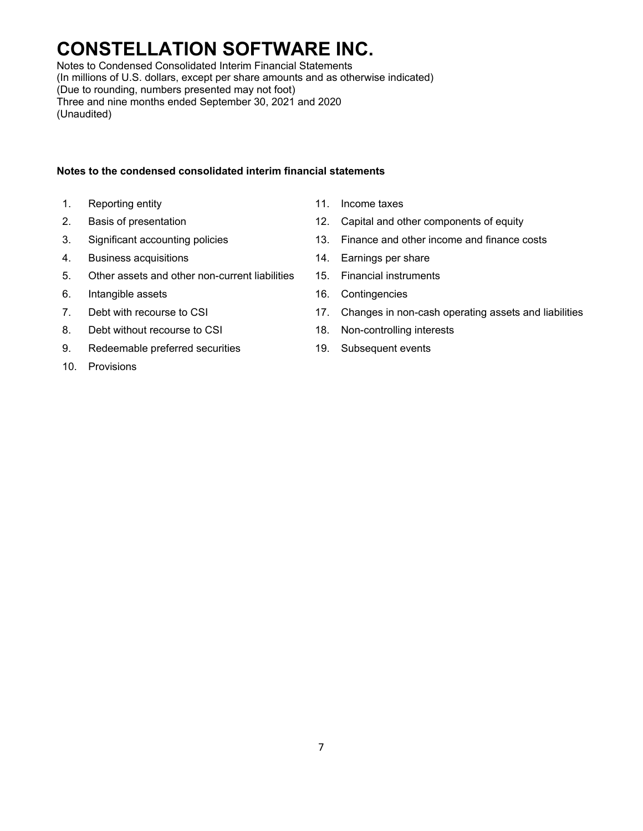Notes to Condensed Consolidated Interim Financial Statements (In millions of U.S. dollars, except per share amounts and as otherwise indicated) (Due to rounding, numbers presented may not foot) Three and nine months ended September 30, 2021 and 2020 (Unaudited)

### **Notes to the condensed consolidated interim financial statements**

- 1. Reporting entity **11.** Income taxes
- 
- 
- 4. Business acquisitions 14. Earnings per share
- 5. Other assets and other non-current liabilities 15. Financial instruments
- 6. Intangible assets 16. Contingencies
- 
- 8. Debt without recourse to CSI 18. Non-controlling interests
- 9. Redeemable preferred securities 19. Subsequent events
- 10. Provisions
- 
- 2. Basis of presentation 12. Capital and other components of equity
- 3. Significant accounting policies 13. Finance and other income and finance costs
	-
	-
	-
- 7. Debt with recourse to CSI 17. Changes in non-cash operating assets and liabilities
	-
	-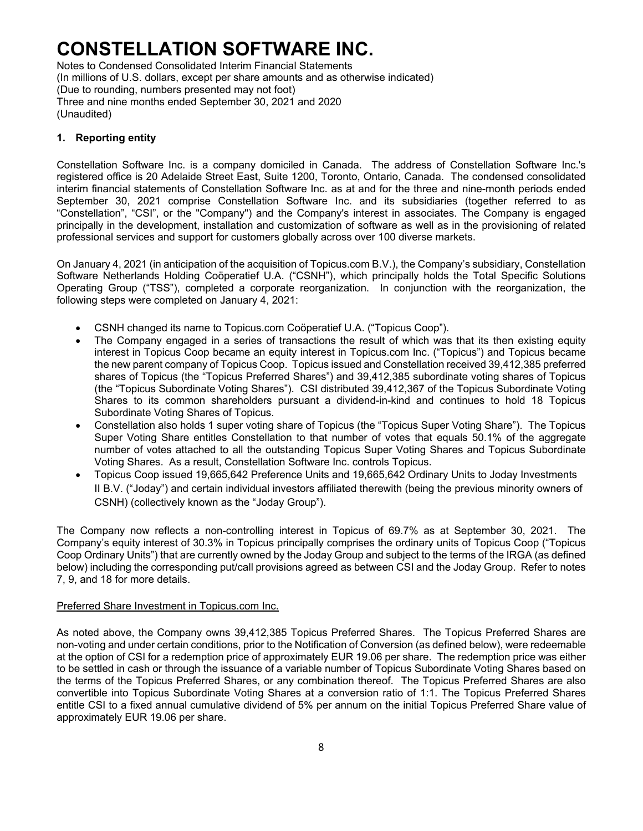Notes to Condensed Consolidated Interim Financial Statements (In millions of U.S. dollars, except per share amounts and as otherwise indicated) (Due to rounding, numbers presented may not foot) Three and nine months ended September 30, 2021 and 2020 (Unaudited)

### **1. Reporting entity**

Constellation Software Inc. is a company domiciled in Canada. The address of Constellation Software Inc.'s registered office is 20 Adelaide Street East, Suite 1200, Toronto, Ontario, Canada. The condensed consolidated interim financial statements of Constellation Software Inc. as at and for the three and nine-month periods ended September 30, 2021 comprise Constellation Software Inc. and its subsidiaries (together referred to as "Constellation", "CSI", or the "Company") and the Company's interest in associates. The Company is engaged principally in the development, installation and customization of software as well as in the provisioning of related professional services and support for customers globally across over 100 diverse markets.

On January 4, 2021 (in anticipation of the acquisition of Topicus.com B.V.), the Company's subsidiary, Constellation Software Netherlands Holding Coöperatief U.A. ("CSNH"), which principally holds the Total Specific Solutions Operating Group ("TSS"), completed a corporate reorganization. In conjunction with the reorganization, the following steps were completed on January 4, 2021:

- CSNH changed its name to Topicus.com Coöperatief U.A. ("Topicus Coop").
- The Company engaged in a series of transactions the result of which was that its then existing equity interest in Topicus Coop became an equity interest in Topicus.com Inc. ("Topicus") and Topicus became the new parent company of Topicus Coop. Topicus issued and Constellation received 39,412,385 preferred shares of Topicus (the "Topicus Preferred Shares") and 39,412,385 subordinate voting shares of Topicus (the "Topicus Subordinate Voting Shares"). CSI distributed 39,412,367 of the Topicus Subordinate Voting Shares to its common shareholders pursuant a dividend-in-kind and continues to hold 18 Topicus Subordinate Voting Shares of Topicus.
- Constellation also holds 1 super voting share of Topicus (the "Topicus Super Voting Share"). The Topicus Super Voting Share entitles Constellation to that number of votes that equals 50.1% of the aggregate number of votes attached to all the outstanding Topicus Super Voting Shares and Topicus Subordinate Voting Shares. As a result, Constellation Software Inc. controls Topicus.
- Topicus Coop issued 19,665,642 Preference Units and 19,665,642 Ordinary Units to Joday Investments II B.V. ("Joday") and certain individual investors affiliated therewith (being the previous minority owners of CSNH) (collectively known as the "Joday Group").

The Company now reflects a non-controlling interest in Topicus of 69.7% as at September 30, 2021. The Company's equity interest of 30.3% in Topicus principally comprises the ordinary units of Topicus Coop ("Topicus Coop Ordinary Units") that are currently owned by the Joday Group and subject to the terms of the IRGA (as defined below) including the corresponding put/call provisions agreed as between CSI and the Joday Group. Refer to notes 7, 9, and 18 for more details.

### Preferred Share Investment in Topicus.com Inc.

As noted above, the Company owns 39,412,385 Topicus Preferred Shares. The Topicus Preferred Shares are non-voting and under certain conditions, prior to the Notification of Conversion (as defined below), were redeemable at the option of CSI for a redemption price of approximately EUR 19.06 per share. The redemption price was either to be settled in cash or through the issuance of a variable number of Topicus Subordinate Voting Shares based on the terms of the Topicus Preferred Shares, or any combination thereof. The Topicus Preferred Shares are also convertible into Topicus Subordinate Voting Shares at a conversion ratio of 1:1. The Topicus Preferred Shares entitle CSI to a fixed annual cumulative dividend of 5% per annum on the initial Topicus Preferred Share value of approximately EUR 19.06 per share.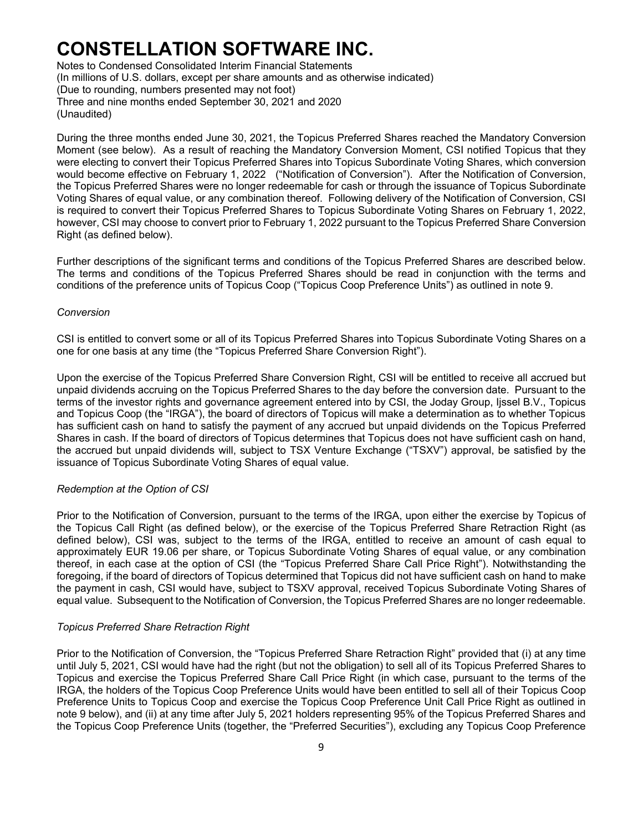Notes to Condensed Consolidated Interim Financial Statements (In millions of U.S. dollars, except per share amounts and as otherwise indicated) (Due to rounding, numbers presented may not foot) Three and nine months ended September 30, 2021 and 2020 (Unaudited)

During the three months ended June 30, 2021, the Topicus Preferred Shares reached the Mandatory Conversion Moment (see below). As a result of reaching the Mandatory Conversion Moment, CSI notified Topicus that they were electing to convert their Topicus Preferred Shares into Topicus Subordinate Voting Shares, which conversion would become effective on February 1, 2022 ("Notification of Conversion"). After the Notification of Conversion, the Topicus Preferred Shares were no longer redeemable for cash or through the issuance of Topicus Subordinate Voting Shares of equal value, or any combination thereof. Following delivery of the Notification of Conversion, CSI is required to convert their Topicus Preferred Shares to Topicus Subordinate Voting Shares on February 1, 2022, however, CSI may choose to convert prior to February 1, 2022 pursuant to the Topicus Preferred Share Conversion Right (as defined below).

Further descriptions of the significant terms and conditions of the Topicus Preferred Shares are described below. The terms and conditions of the Topicus Preferred Shares should be read in conjunction with the terms and conditions of the preference units of Topicus Coop ("Topicus Coop Preference Units") as outlined in note 9.

#### *Conversion*

CSI is entitled to convert some or all of its Topicus Preferred Shares into Topicus Subordinate Voting Shares on a one for one basis at any time (the "Topicus Preferred Share Conversion Right").

Upon the exercise of the Topicus Preferred Share Conversion Right, CSI will be entitled to receive all accrued but unpaid dividends accruing on the Topicus Preferred Shares to the day before the conversion date. Pursuant to the terms of the investor rights and governance agreement entered into by CSI, the Joday Group, Ijssel B.V., Topicus and Topicus Coop (the "IRGA"), the board of directors of Topicus will make a determination as to whether Topicus has sufficient cash on hand to satisfy the payment of any accrued but unpaid dividends on the Topicus Preferred Shares in cash. If the board of directors of Topicus determines that Topicus does not have sufficient cash on hand, the accrued but unpaid dividends will, subject to TSX Venture Exchange ("TSXV") approval, be satisfied by the issuance of Topicus Subordinate Voting Shares of equal value.

#### *Redemption at the Option of CSI*

Prior to the Notification of Conversion, pursuant to the terms of the IRGA, upon either the exercise by Topicus of the Topicus Call Right (as defined below), or the exercise of the Topicus Preferred Share Retraction Right (as defined below), CSI was, subject to the terms of the IRGA, entitled to receive an amount of cash equal to approximately EUR 19.06 per share, or Topicus Subordinate Voting Shares of equal value, or any combination thereof, in each case at the option of CSI (the "Topicus Preferred Share Call Price Right"). Notwithstanding the foregoing, if the board of directors of Topicus determined that Topicus did not have sufficient cash on hand to make the payment in cash, CSI would have, subject to TSXV approval, received Topicus Subordinate Voting Shares of equal value. Subsequent to the Notification of Conversion, the Topicus Preferred Shares are no longer redeemable.

#### *Topicus Preferred Share Retraction Right*

Prior to the Notification of Conversion, the "Topicus Preferred Share Retraction Right" provided that (i) at any time until July 5, 2021, CSI would have had the right (but not the obligation) to sell all of its Topicus Preferred Shares to Topicus and exercise the Topicus Preferred Share Call Price Right (in which case, pursuant to the terms of the IRGA, the holders of the Topicus Coop Preference Units would have been entitled to sell all of their Topicus Coop Preference Units to Topicus Coop and exercise the Topicus Coop Preference Unit Call Price Right as outlined in note 9 below), and (ii) at any time after July 5, 2021 holders representing 95% of the Topicus Preferred Shares and the Topicus Coop Preference Units (together, the "Preferred Securities"), excluding any Topicus Coop Preference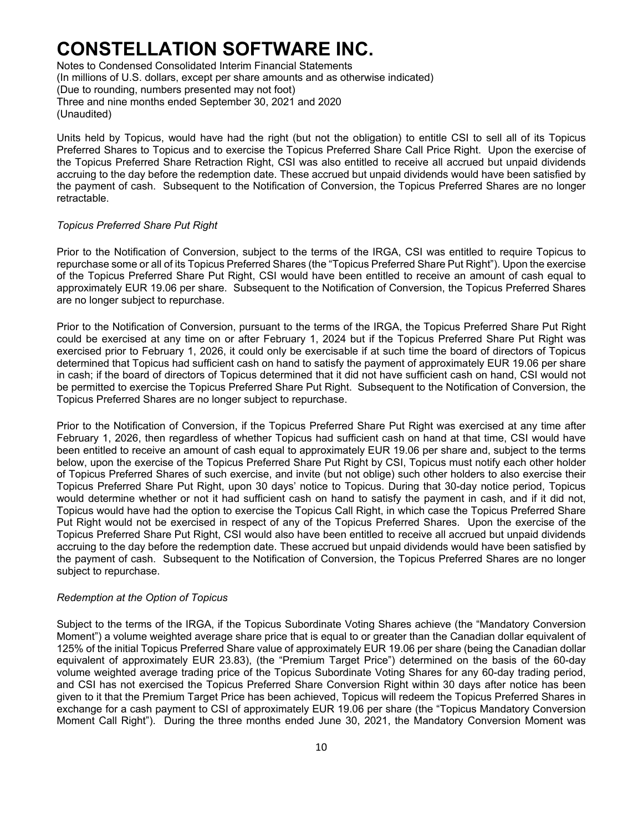Notes to Condensed Consolidated Interim Financial Statements (In millions of U.S. dollars, except per share amounts and as otherwise indicated) (Due to rounding, numbers presented may not foot) Three and nine months ended September 30, 2021 and 2020 (Unaudited)

Units held by Topicus, would have had the right (but not the obligation) to entitle CSI to sell all of its Topicus Preferred Shares to Topicus and to exercise the Topicus Preferred Share Call Price Right. Upon the exercise of the Topicus Preferred Share Retraction Right, CSI was also entitled to receive all accrued but unpaid dividends accruing to the day before the redemption date. These accrued but unpaid dividends would have been satisfied by the payment of cash. Subsequent to the Notification of Conversion, the Topicus Preferred Shares are no longer retractable.

### *Topicus Preferred Share Put Right*

Prior to the Notification of Conversion, subject to the terms of the IRGA, CSI was entitled to require Topicus to repurchase some or all of its Topicus Preferred Shares (the "Topicus Preferred Share Put Right"). Upon the exercise of the Topicus Preferred Share Put Right, CSI would have been entitled to receive an amount of cash equal to approximately EUR 19.06 per share. Subsequent to the Notification of Conversion, the Topicus Preferred Shares are no longer subject to repurchase.

Prior to the Notification of Conversion, pursuant to the terms of the IRGA, the Topicus Preferred Share Put Right could be exercised at any time on or after February 1, 2024 but if the Topicus Preferred Share Put Right was exercised prior to February 1, 2026, it could only be exercisable if at such time the board of directors of Topicus determined that Topicus had sufficient cash on hand to satisfy the payment of approximately EUR 19.06 per share in cash; if the board of directors of Topicus determined that it did not have sufficient cash on hand, CSI would not be permitted to exercise the Topicus Preferred Share Put Right. Subsequent to the Notification of Conversion, the Topicus Preferred Shares are no longer subject to repurchase.

Prior to the Notification of Conversion, if the Topicus Preferred Share Put Right was exercised at any time after February 1, 2026, then regardless of whether Topicus had sufficient cash on hand at that time, CSI would have been entitled to receive an amount of cash equal to approximately EUR 19.06 per share and, subject to the terms below, upon the exercise of the Topicus Preferred Share Put Right by CSI, Topicus must notify each other holder of Topicus Preferred Shares of such exercise, and invite (but not oblige) such other holders to also exercise their Topicus Preferred Share Put Right, upon 30 days' notice to Topicus. During that 30-day notice period, Topicus would determine whether or not it had sufficient cash on hand to satisfy the payment in cash, and if it did not, Topicus would have had the option to exercise the Topicus Call Right, in which case the Topicus Preferred Share Put Right would not be exercised in respect of any of the Topicus Preferred Shares. Upon the exercise of the Topicus Preferred Share Put Right, CSI would also have been entitled to receive all accrued but unpaid dividends accruing to the day before the redemption date. These accrued but unpaid dividends would have been satisfied by the payment of cash. Subsequent to the Notification of Conversion, the Topicus Preferred Shares are no longer subject to repurchase.

#### *Redemption at the Option of Topicus*

Subject to the terms of the IRGA, if the Topicus Subordinate Voting Shares achieve (the "Mandatory Conversion Moment") a volume weighted average share price that is equal to or greater than the Canadian dollar equivalent of 125% of the initial Topicus Preferred Share value of approximately EUR 19.06 per share (being the Canadian dollar equivalent of approximately EUR 23.83), (the "Premium Target Price") determined on the basis of the 60-day volume weighted average trading price of the Topicus Subordinate Voting Shares for any 60-day trading period, and CSI has not exercised the Topicus Preferred Share Conversion Right within 30 days after notice has been given to it that the Premium Target Price has been achieved, Topicus will redeem the Topicus Preferred Shares in exchange for a cash payment to CSI of approximately EUR 19.06 per share (the "Topicus Mandatory Conversion Moment Call Right"). During the three months ended June 30, 2021, the Mandatory Conversion Moment was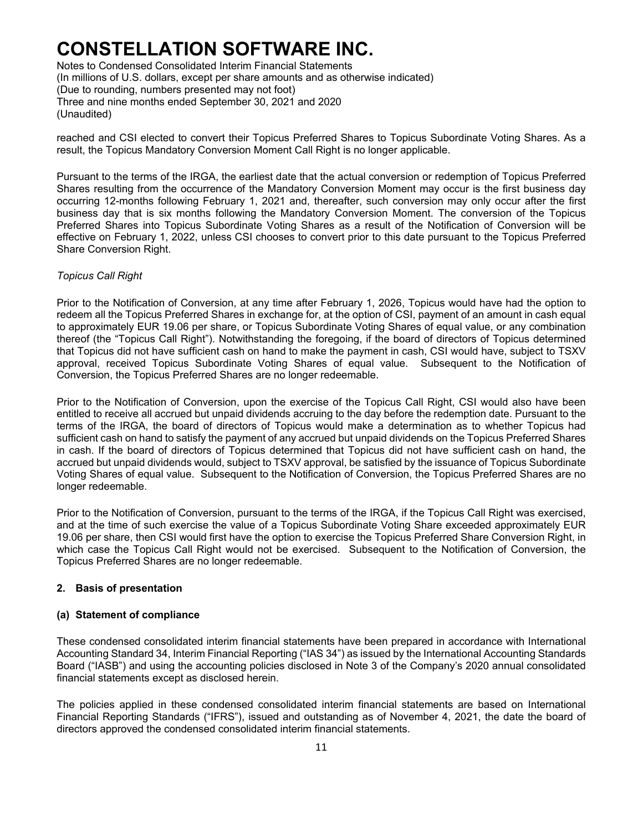Notes to Condensed Consolidated Interim Financial Statements (In millions of U.S. dollars, except per share amounts and as otherwise indicated) (Due to rounding, numbers presented may not foot) Three and nine months ended September 30, 2021 and 2020 (Unaudited)

reached and CSI elected to convert their Topicus Preferred Shares to Topicus Subordinate Voting Shares. As a result, the Topicus Mandatory Conversion Moment Call Right is no longer applicable.

Pursuant to the terms of the IRGA, the earliest date that the actual conversion or redemption of Topicus Preferred Shares resulting from the occurrence of the Mandatory Conversion Moment may occur is the first business day occurring 12-months following February 1, 2021 and, thereafter, such conversion may only occur after the first business day that is six months following the Mandatory Conversion Moment. The conversion of the Topicus Preferred Shares into Topicus Subordinate Voting Shares as a result of the Notification of Conversion will be effective on February 1, 2022, unless CSI chooses to convert prior to this date pursuant to the Topicus Preferred Share Conversion Right.

### *Topicus Call Right*

Prior to the Notification of Conversion, at any time after February 1, 2026, Topicus would have had the option to redeem all the Topicus Preferred Shares in exchange for, at the option of CSI, payment of an amount in cash equal to approximately EUR 19.06 per share, or Topicus Subordinate Voting Shares of equal value, or any combination thereof (the "Topicus Call Right"). Notwithstanding the foregoing, if the board of directors of Topicus determined that Topicus did not have sufficient cash on hand to make the payment in cash, CSI would have, subject to TSXV approval, received Topicus Subordinate Voting Shares of equal value. Subsequent to the Notification of Conversion, the Topicus Preferred Shares are no longer redeemable.

Prior to the Notification of Conversion, upon the exercise of the Topicus Call Right, CSI would also have been entitled to receive all accrued but unpaid dividends accruing to the day before the redemption date. Pursuant to the terms of the IRGA, the board of directors of Topicus would make a determination as to whether Topicus had sufficient cash on hand to satisfy the payment of any accrued but unpaid dividends on the Topicus Preferred Shares in cash. If the board of directors of Topicus determined that Topicus did not have sufficient cash on hand, the accrued but unpaid dividends would, subject to TSXV approval, be satisfied by the issuance of Topicus Subordinate Voting Shares of equal value. Subsequent to the Notification of Conversion, the Topicus Preferred Shares are no longer redeemable.

Prior to the Notification of Conversion, pursuant to the terms of the IRGA, if the Topicus Call Right was exercised, and at the time of such exercise the value of a Topicus Subordinate Voting Share exceeded approximately EUR 19.06 per share, then CSI would first have the option to exercise the Topicus Preferred Share Conversion Right, in which case the Topicus Call Right would not be exercised. Subsequent to the Notification of Conversion, the Topicus Preferred Shares are no longer redeemable.

#### **2. Basis of presentation**

### **(a) Statement of compliance**

These condensed consolidated interim financial statements have been prepared in accordance with International Accounting Standard 34, Interim Financial Reporting ("IAS 34") as issued by the International Accounting Standards Board ("IASB") and using the accounting policies disclosed in Note 3 of the Company's 2020 annual consolidated financial statements except as disclosed herein.

The policies applied in these condensed consolidated interim financial statements are based on International Financial Reporting Standards ("IFRS"), issued and outstanding as of November 4, 2021, the date the board of directors approved the condensed consolidated interim financial statements.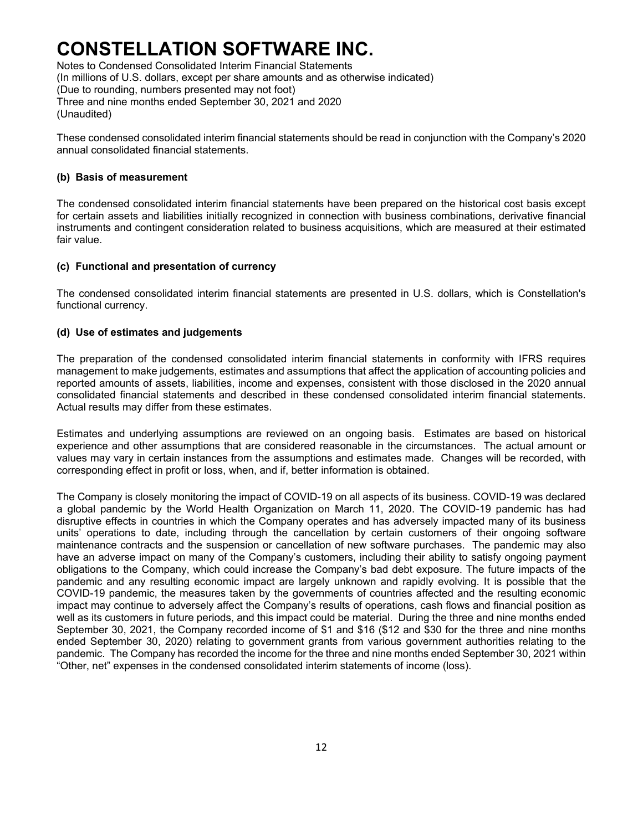Notes to Condensed Consolidated Interim Financial Statements (In millions of U.S. dollars, except per share amounts and as otherwise indicated) (Due to rounding, numbers presented may not foot) Three and nine months ended September 30, 2021 and 2020 (Unaudited)

These condensed consolidated interim financial statements should be read in conjunction with the Company's 2020 annual consolidated financial statements.

### **(b) Basis of measurement**

The condensed consolidated interim financial statements have been prepared on the historical cost basis except for certain assets and liabilities initially recognized in connection with business combinations, derivative financial instruments and contingent consideration related to business acquisitions, which are measured at their estimated fair value.

### **(c) Functional and presentation of currency**

The condensed consolidated interim financial statements are presented in U.S. dollars, which is Constellation's functional currency.

### **(d) Use of estimates and judgements**

The preparation of the condensed consolidated interim financial statements in conformity with IFRS requires management to make judgements, estimates and assumptions that affect the application of accounting policies and reported amounts of assets, liabilities, income and expenses, consistent with those disclosed in the 2020 annual consolidated financial statements and described in these condensed consolidated interim financial statements. Actual results may differ from these estimates.

Estimates and underlying assumptions are reviewed on an ongoing basis. Estimates are based on historical experience and other assumptions that are considered reasonable in the circumstances. The actual amount or values may vary in certain instances from the assumptions and estimates made. Changes will be recorded, with corresponding effect in profit or loss, when, and if, better information is obtained.

The Company is closely monitoring the impact of COVID-19 on all aspects of its business. COVID-19 was declared a global pandemic by the World Health Organization on March 11, 2020. The COVID-19 pandemic has had disruptive effects in countries in which the Company operates and has adversely impacted many of its business units' operations to date, including through the cancellation by certain customers of their ongoing software maintenance contracts and the suspension or cancellation of new software purchases. The pandemic may also have an adverse impact on many of the Company's customers, including their ability to satisfy ongoing payment obligations to the Company, which could increase the Company's bad debt exposure. The future impacts of the pandemic and any resulting economic impact are largely unknown and rapidly evolving. It is possible that the COVID-19 pandemic, the measures taken by the governments of countries affected and the resulting economic impact may continue to adversely affect the Company's results of operations, cash flows and financial position as well as its customers in future periods, and this impact could be material. During the three and nine months ended September 30, 2021, the Company recorded income of \$1 and \$16 (\$12 and \$30 for the three and nine months ended September 30, 2020) relating to government grants from various government authorities relating to the pandemic. The Company has recorded the income for the three and nine months ended September 30, 2021 within "Other, net" expenses in the condensed consolidated interim statements of income (loss).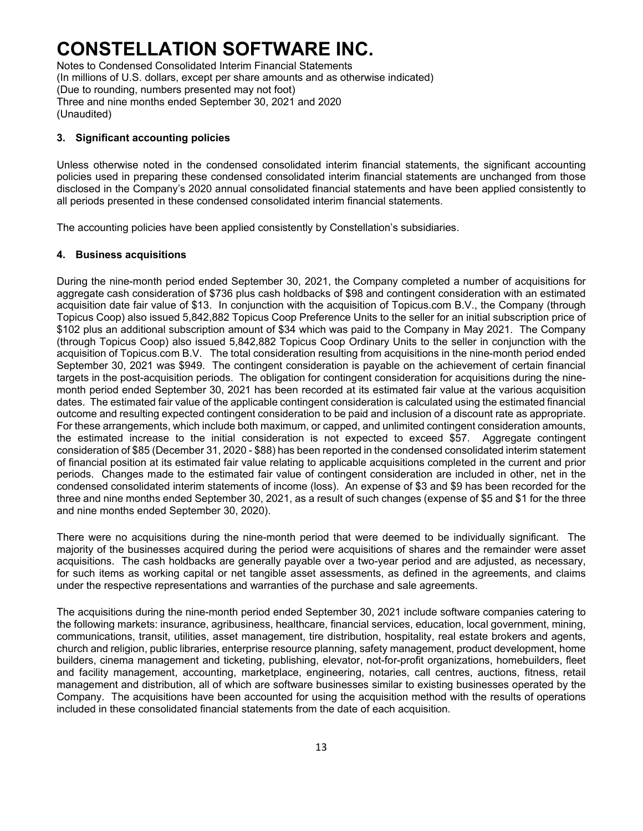Notes to Condensed Consolidated Interim Financial Statements (In millions of U.S. dollars, except per share amounts and as otherwise indicated) (Due to rounding, numbers presented may not foot) Three and nine months ended September 30, 2021 and 2020 (Unaudited)

### **3. Significant accounting policies**

Unless otherwise noted in the condensed consolidated interim financial statements, the significant accounting policies used in preparing these condensed consolidated interim financial statements are unchanged from those disclosed in the Company's 2020 annual consolidated financial statements and have been applied consistently to all periods presented in these condensed consolidated interim financial statements.

The accounting policies have been applied consistently by Constellation's subsidiaries.

### **4. Business acquisitions**

During the nine-month period ended September 30, 2021, the Company completed a number of acquisitions for aggregate cash consideration of \$736 plus cash holdbacks of \$98 and contingent consideration with an estimated acquisition date fair value of \$13. In conjunction with the acquisition of Topicus.com B.V., the Company (through Topicus Coop) also issued 5,842,882 Topicus Coop Preference Units to the seller for an initial subscription price of \$102 plus an additional subscription amount of \$34 which was paid to the Company in May 2021. The Company (through Topicus Coop) also issued 5,842,882 Topicus Coop Ordinary Units to the seller in conjunction with the acquisition of Topicus.com B.V. The total consideration resulting from acquisitions in the nine-month period ended September 30, 2021 was \$949. The contingent consideration is payable on the achievement of certain financial targets in the post-acquisition periods. The obligation for contingent consideration for acquisitions during the ninemonth period ended September 30, 2021 has been recorded at its estimated fair value at the various acquisition dates. The estimated fair value of the applicable contingent consideration is calculated using the estimated financial outcome and resulting expected contingent consideration to be paid and inclusion of a discount rate as appropriate. For these arrangements, which include both maximum, or capped, and unlimited contingent consideration amounts, the estimated increase to the initial consideration is not expected to exceed \$57. Aggregate contingent consideration of \$85 (December 31, 2020 - \$88) has been reported in the condensed consolidated interim statement of financial position at its estimated fair value relating to applicable acquisitions completed in the current and prior periods. Changes made to the estimated fair value of contingent consideration are included in other, net in the condensed consolidated interim statements of income (loss). An expense of \$3 and \$9 has been recorded for the three and nine months ended September 30, 2021, as a result of such changes (expense of \$5 and \$1 for the three and nine months ended September 30, 2020).

There were no acquisitions during the nine-month period that were deemed to be individually significant. The majority of the businesses acquired during the period were acquisitions of shares and the remainder were asset acquisitions. The cash holdbacks are generally payable over a two-year period and are adjusted, as necessary, for such items as working capital or net tangible asset assessments, as defined in the agreements, and claims under the respective representations and warranties of the purchase and sale agreements.

The acquisitions during the nine-month period ended September 30, 2021 include software companies catering to the following markets: insurance, agribusiness, healthcare, financial services, education, local government, mining, communications, transit, utilities, asset management, tire distribution, hospitality, real estate brokers and agents, church and religion, public libraries, enterprise resource planning, safety management, product development, home builders, cinema management and ticketing, publishing, elevator, not-for-profit organizations, homebuilders, fleet and facility management, accounting, marketplace, engineering, notaries, call centres, auctions, fitness, retail management and distribution, all of which are software businesses similar to existing businesses operated by the Company. The acquisitions have been accounted for using the acquisition method with the results of operations included in these consolidated financial statements from the date of each acquisition.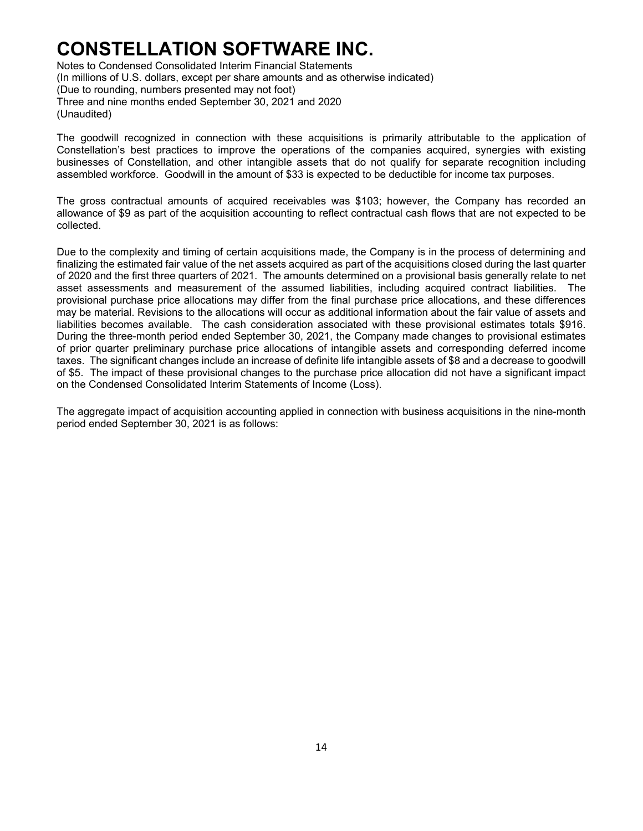Notes to Condensed Consolidated Interim Financial Statements (In millions of U.S. dollars, except per share amounts and as otherwise indicated) (Due to rounding, numbers presented may not foot) Three and nine months ended September 30, 2021 and 2020 (Unaudited)

The goodwill recognized in connection with these acquisitions is primarily attributable to the application of Constellation's best practices to improve the operations of the companies acquired, synergies with existing businesses of Constellation, and other intangible assets that do not qualify for separate recognition including assembled workforce. Goodwill in the amount of \$33 is expected to be deductible for income tax purposes.

The gross contractual amounts of acquired receivables was \$103; however, the Company has recorded an allowance of \$9 as part of the acquisition accounting to reflect contractual cash flows that are not expected to be collected.

Due to the complexity and timing of certain acquisitions made, the Company is in the process of determining and finalizing the estimated fair value of the net assets acquired as part of the acquisitions closed during the last quarter of 2020 and the first three quarters of 2021. The amounts determined on a provisional basis generally relate to net asset assessments and measurement of the assumed liabilities, including acquired contract liabilities. The provisional purchase price allocations may differ from the final purchase price allocations, and these differences may be material. Revisions to the allocations will occur as additional information about the fair value of assets and liabilities becomes available. The cash consideration associated with these provisional estimates totals \$916. During the three-month period ended September 30, 2021, the Company made changes to provisional estimates of prior quarter preliminary purchase price allocations of intangible assets and corresponding deferred income taxes. The significant changes include an increase of definite life intangible assets of \$8 and a decrease to goodwill of \$5. The impact of these provisional changes to the purchase price allocation did not have a significant impact on the Condensed Consolidated Interim Statements of Income (Loss).

The aggregate impact of acquisition accounting applied in connection with business acquisitions in the nine-month period ended September 30, 2021 is as follows: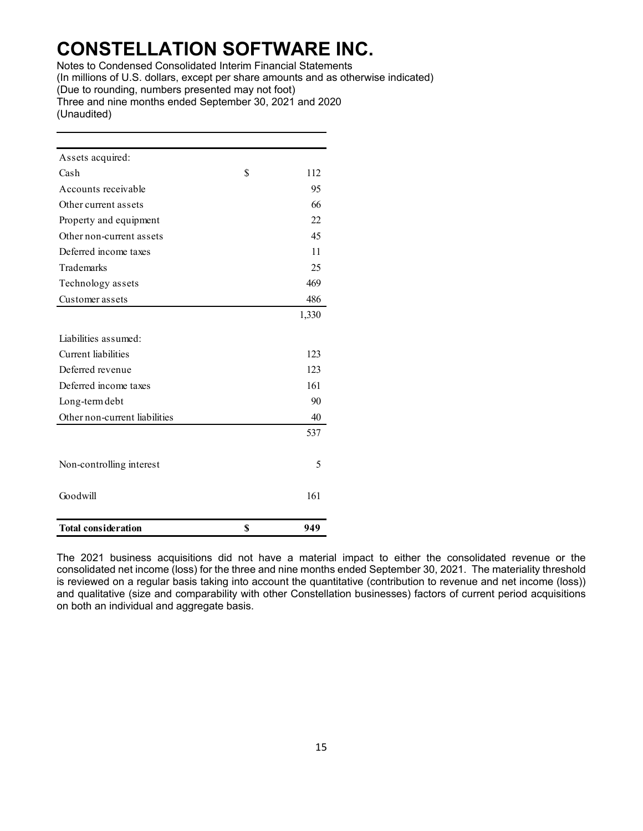Notes to Condensed Consolidated Interim Financial Statements (In millions of U.S. dollars, except per share amounts and as otherwise indicated) (Due to rounding, numbers presented may not foot) Three and nine months ended September 30, 2021 and 2020 (Unaudited)

| Assets acquired:              |           |
|-------------------------------|-----------|
| Cash                          | \$<br>112 |
| Accounts receivable           | 95        |
| Other current assets          | 66        |
| Property and equipment        | 22        |
| Other non-current assets      | 45        |
| Deferred income taxes         | 11        |
| Trademarks                    | 25        |
| Technology assets             | 469       |
| Customer assets               | 486       |
|                               | 1,330     |
| Liabilities assumed:          |           |
| Current liabilities           | 123       |
| Deferred revenue              | 123       |
| Deferred income taxes         | 161       |
| Long-term debt                | 90        |
| Other non-current liabilities | 40        |
|                               | 537       |
|                               |           |
| Non-controlling interest      | 5         |
|                               |           |
| Goodwill                      | 161       |
|                               |           |
| <b>Total consideration</b>    | \$<br>949 |

The 2021 business acquisitions did not have a material impact to either the consolidated revenue or the consolidated net income (loss) for the three and nine months ended September 30, 2021. The materiality threshold is reviewed on a regular basis taking into account the quantitative (contribution to revenue and net income (loss)) and qualitative (size and comparability with other Constellation businesses) factors of current period acquisitions on both an individual and aggregate basis.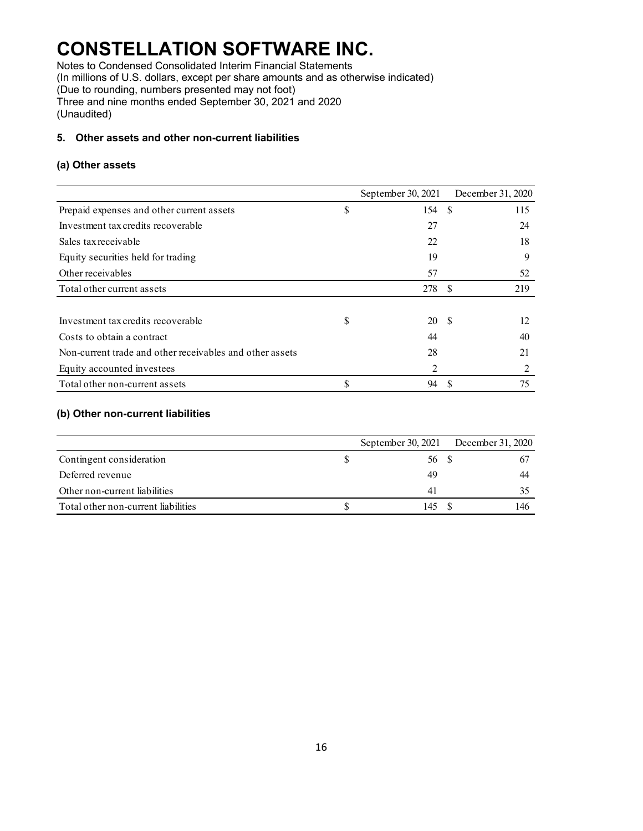Notes to Condensed Consolidated Interim Financial Statements (In millions of U.S. dollars, except per share amounts and as otherwise indicated) (Due to rounding, numbers presented may not foot) Three and nine months ended September 30, 2021 and 2020

(Unaudited)

### **5. Other assets and other non-current liabilities**

### **(a) Other assets**

|                                                          | September 30, 2021 |     | December 31, 2020 |
|----------------------------------------------------------|--------------------|-----|-------------------|
| Prepaid expenses and other current assets                | \$<br>154          | -\$ | 115               |
| Investment tax credits recoverable                       | 27                 |     | 24                |
| Sales tax receivable                                     | 22                 |     | 18                |
| Equity securities held for trading                       | 19                 |     | 9                 |
| Other receivables                                        | 57                 |     | 52                |
| Total other current assets                               | 278                | -8  | 219               |
|                                                          |                    |     |                   |
| Investment tax credits recoverable                       | \$<br>20           | -S  | 12                |
| Costs to obtain a contract                               | 44                 |     | 40                |
| Non-current trade and other receivables and other assets | 28                 |     | 21                |
| Equity accounted investees                               | 2                  |     |                   |
| Total other non-current assets                           | \$<br>94           |     | 75                |

### **(b) Other non-current liabilities**

|                                     | September 30, $2021$ | December 31, 2020 |
|-------------------------------------|----------------------|-------------------|
| Contingent consideration            | 56 S                 | 67                |
| Deferred revenue                    | 49                   | 44                |
| Other non-current liabilities       | 41                   |                   |
| Total other non-current liabilities | 145                  | 146               |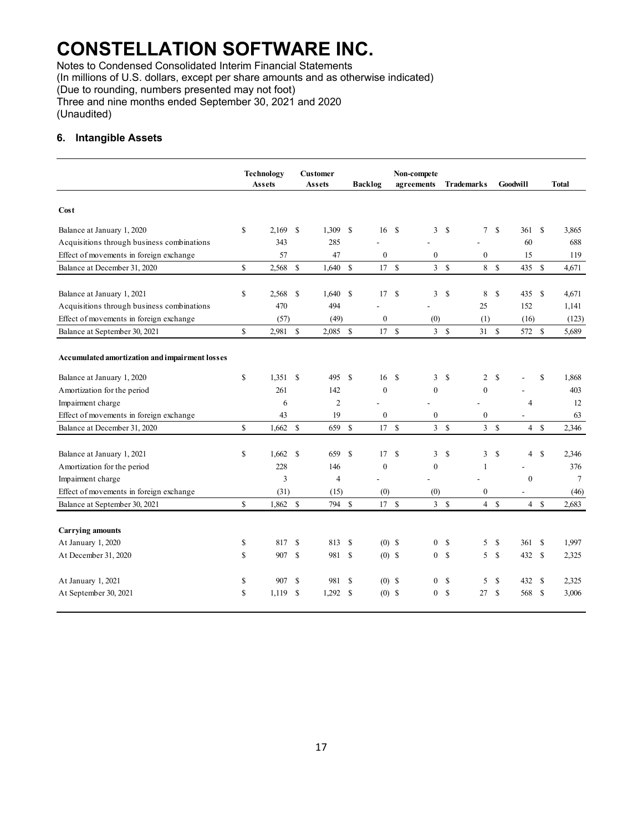Notes to Condensed Consolidated Interim Financial Statements

(In millions of U.S. dollars, except per share amounts and as otherwise indicated)

(Due to rounding, numbers presented may not foot)

Three and nine months ended September 30, 2021 and 2020 (Unaudited)

### **6. Intangible Assets**

|                                                | <b>Technology</b> |          | <b>Customer</b><br>Assets |                | <b>Backlog</b> |                  | Non-compete<br>agreements | <b>Trademarks</b> |               |                  | <b>Goodwill</b> |                          | <b>Total</b>  |        |
|------------------------------------------------|-------------------|----------|---------------------------|----------------|----------------|------------------|---------------------------|-------------------|---------------|------------------|-----------------|--------------------------|---------------|--------|
|                                                |                   | Assets   |                           |                |                |                  |                           |                   |               |                  |                 |                          |               |        |
| Cost                                           |                   |          |                           |                |                |                  |                           |                   |               |                  |                 |                          |               |        |
| Balance at January 1, 2020                     | \$                | 2,169    | <sup>\$</sup>             | 1,309          | \$             | 16 \$            |                           | 3                 | \$            | $7\overline{ }$  | \$              | 361                      | <sup>S</sup>  | 3,865  |
| Acquisitions through business combinations     |                   | 343      |                           | 285            |                |                  |                           |                   |               |                  |                 | 60                       |               | 688    |
| Effect of movements in foreign exchange        |                   | 57       |                           | 47             |                | $\mathbf{0}$     |                           | $\mathbf{0}$      |               | $\mathbf{0}$     |                 | 15                       |               | 119    |
| Balance at December 31, 2020                   | \$                | 2,568    | <b>S</b>                  | 1,640          | \$             | 17S              |                           | 3S                |               | 8                | \$              | 435                      | - \$          | 4,671  |
|                                                |                   |          |                           |                |                |                  |                           |                   |               |                  |                 |                          |               |        |
| Balance at January 1, 2021                     | \$                | 2,568    | \$                        | 1,640          | \$             | 17S              |                           | 3                 | \$            | 8                | \$              | 435                      | $\mathbf{\$}$ | 4,671  |
| Acquisitions through business combinations     |                   | 470      |                           | 494            |                |                  |                           |                   |               | 25               |                 | 152                      |               | 1.141  |
| Effect of movements in foreign exchange        |                   | (57)     |                           | (49)           |                | $\boldsymbol{0}$ |                           | (0)               |               | (1)              |                 | (16)                     |               | (123)  |
| Balance at September 30, 2021                  | \$                | 2,981    | $\mathbb{S}$              | $2,085$ \$     |                | 17S              |                           | 3S                |               | 31               | <sup>\$</sup>   | 572 \$                   |               | 5,689  |
| Accumulated amortization and impairment losses |                   |          |                           |                |                |                  |                           |                   |               |                  |                 |                          |               |        |
| Balance at January 1, 2020                     | \$                | 1,351    | <sup>\$</sup>             | 495            | \$             | 16               | -\$                       | 3                 | \$            | 2                | \$              |                          | \$            | 1,868  |
| Amortization for the period                    |                   | 261      |                           | 142            |                | $\mathbf{0}$     |                           | $\mathbf{0}$      |               | $\mathbf{0}$     |                 |                          |               | 403    |
| Impairment charge                              |                   | 6        |                           | $\overline{c}$ |                |                  |                           |                   |               |                  |                 | $\overline{4}$           |               | 12     |
| Effect of movements in foreign exchange        |                   | 43       |                           | 19             |                | $\boldsymbol{0}$ |                           | $\boldsymbol{0}$  |               | $\boldsymbol{0}$ |                 |                          |               | 63     |
| Balance at December 31, 2020                   | $\mathbf S$       | 1,662    | $\mathbf S$               | 659            | $\mathbf S$    | 17               | $\mathbf{\hat{S}}$        | $\overline{3}$    | $\mathbf S$   | $\overline{3}$   | $\mathbf S$     | $\overline{4}$           | $\mathbf S$   | 2.346  |
|                                                |                   |          |                           |                |                |                  |                           |                   |               |                  |                 |                          |               |        |
| Balance at January 1, 2021                     | \$                | 1,662    | <sup>\$</sup>             | 659            | <sup>\$</sup>  | 17               | <sup>\$</sup>             | 3                 | \$            | 3                | \$              | $\overline{4}$           | <sup>\$</sup> | 2,346  |
| Amortization for the period                    |                   | 228      |                           | 146            |                | $\mathbf{0}$     |                           | $\mathbf{0}$      |               | 1                |                 |                          |               | 376    |
| Impairment charge                              |                   | 3        |                           | $\overline{4}$ |                |                  |                           |                   |               |                  |                 | $\theta$                 |               | $\tau$ |
| Effect of movements in foreign exchange        |                   | (31)     |                           | (15)           |                | (0)              |                           | (0)               |               | $\mathbf{0}$     |                 | $\overline{\phantom{a}}$ |               | (46)   |
| Balance at September 30, 2021                  | \$                | 1,862 \$ |                           | 794 \$         |                | 17S              |                           | 3S                |               |                  | 4S              | 4S                       |               | 2,683  |
|                                                |                   |          |                           |                |                |                  |                           |                   |               |                  |                 |                          |               |        |
| <b>Carrying amounts</b>                        |                   |          |                           |                |                |                  |                           |                   |               |                  |                 |                          |               |        |
| At January 1, 2020                             | \$                | 817      | \$                        | 813            | \$             | $(0)$ \$         |                           | 0                 | \$            | 5                | \$              | 361                      | <sup>\$</sup> | 1,997  |
| At December 31, 2020                           | \$                | 907      | <sup>\$</sup>             | 981            | \$             | $(0)$ \$         |                           | $\overline{0}$    | \$            | 5 <sup>5</sup>   | <sup>\$</sup>   | 432                      | <sup>\$</sup> | 2,325  |
|                                                |                   |          |                           |                |                |                  |                           |                   |               |                  |                 |                          |               |        |
| At January 1, 2021                             | \$                | 907      | \$                        | 981            | <sup>\$</sup>  | $(0)$ \$         |                           | $\mathbf{0}$      | \$            | 5                | \$              | 432                      | -S            | 2,325  |
| At September 30, 2021                          | \$                | 1.119    | S                         | 1,292          | \$             | $(0)$ \$         |                           | $\Omega$          | <sup>\$</sup> | 27               | <sup>\$</sup>   | 568                      | -S            | 3,006  |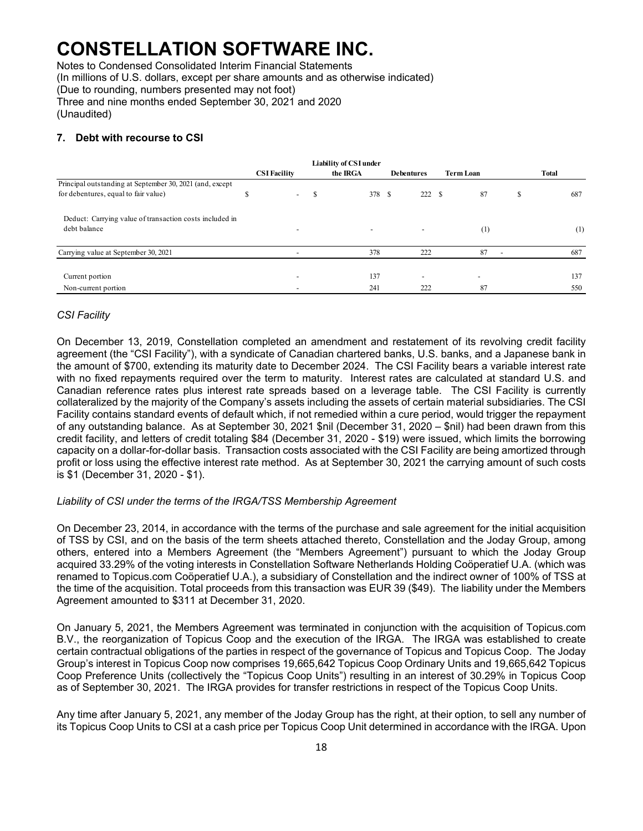Notes to Condensed Consolidated Interim Financial Statements (In millions of U.S. dollars, except per share amounts and as otherwise indicated) (Due to rounding, numbers presented may not foot) Three and nine months ended September 30, 2021 and 2020

(Unaudited)

### **7. Debt with recourse to CSI**

|                                                          |  | <b>CSI Facility</b>      |   | <b>Liability of CSI under</b><br>the IRGA | <b>Debentures</b>        | <b>Term Loan</b>         | Total |     |  |
|----------------------------------------------------------|--|--------------------------|---|-------------------------------------------|--------------------------|--------------------------|-------|-----|--|
| Principal outstanding at September 30, 2021 (and, except |  |                          |   |                                           |                          |                          |       |     |  |
| for debentures, equal to fair value)                     |  | $\overline{\phantom{a}}$ | S | 378 S                                     | 222                      | -S<br>87                 | S     | 687 |  |
| Deduct: Carrying value of transaction costs included in  |  |                          |   |                                           |                          |                          |       |     |  |
| debt balance                                             |  |                          |   | $\overline{\phantom{a}}$                  |                          | (1)                      |       | (1) |  |
| Carrying value at September 30, 2021                     |  |                          |   | 378                                       | 222                      | 87                       |       | 687 |  |
|                                                          |  |                          |   |                                           |                          |                          |       |     |  |
| Current portion                                          |  |                          |   | 137                                       | $\overline{\phantom{a}}$ | $\overline{\phantom{a}}$ |       | 137 |  |
| Non-current portion                                      |  |                          |   | 241                                       | 222                      | 87                       |       | 550 |  |

### *CSI Facility*

On December 13, 2019, Constellation completed an amendment and restatement of its revolving credit facility agreement (the "CSI Facility"), with a syndicate of Canadian chartered banks, U.S. banks, and a Japanese bank in the amount of \$700, extending its maturity date to December 2024. The CSI Facility bears a variable interest rate with no fixed repayments required over the term to maturity. Interest rates are calculated at standard U.S. and Canadian reference rates plus interest rate spreads based on a leverage table. The CSI Facility is currently collateralized by the majority of the Company's assets including the assets of certain material subsidiaries. The CSI Facility contains standard events of default which, if not remedied within a cure period, would trigger the repayment of any outstanding balance. As at September 30, 2021 \$nil (December 31, 2020 – \$nil) had been drawn from this credit facility, and letters of credit totaling \$84 (December 31, 2020 - \$19) were issued, which limits the borrowing capacity on a dollar-for-dollar basis. Transaction costs associated with the CSI Facility are being amortized through profit or loss using the effective interest rate method. As at September 30, 2021 the carrying amount of such costs is \$1 (December 31, 2020 - \$1).

### *Liability of CSI under the terms of the IRGA/TSS Membership Agreement*

On December 23, 2014, in accordance with the terms of the purchase and sale agreement for the initial acquisition of TSS by CSI, and on the basis of the term sheets attached thereto, Constellation and the Joday Group, among others, entered into a Members Agreement (the "Members Agreement") pursuant to which the Joday Group acquired 33.29% of the voting interests in Constellation Software Netherlands Holding Coöperatief U.A. (which was renamed to Topicus.com Coöperatief U.A.), a subsidiary of Constellation and the indirect owner of 100% of TSS at the time of the acquisition. Total proceeds from this transaction was EUR 39 (\$49). The liability under the Members Agreement amounted to \$311 at December 31, 2020.

On January 5, 2021, the Members Agreement was terminated in conjunction with the acquisition of Topicus.com B.V., the reorganization of Topicus Coop and the execution of the IRGA. The IRGA was established to create certain contractual obligations of the parties in respect of the governance of Topicus and Topicus Coop. The Joday Group's interest in Topicus Coop now comprises 19,665,642 Topicus Coop Ordinary Units and 19,665,642 Topicus Coop Preference Units (collectively the "Topicus Coop Units") resulting in an interest of 30.29% in Topicus Coop as of September 30, 2021. The IRGA provides for transfer restrictions in respect of the Topicus Coop Units.

Any time after January 5, 2021, any member of the Joday Group has the right, at their option, to sell any number of its Topicus Coop Units to CSI at a cash price per Topicus Coop Unit determined in accordance with the IRGA. Upon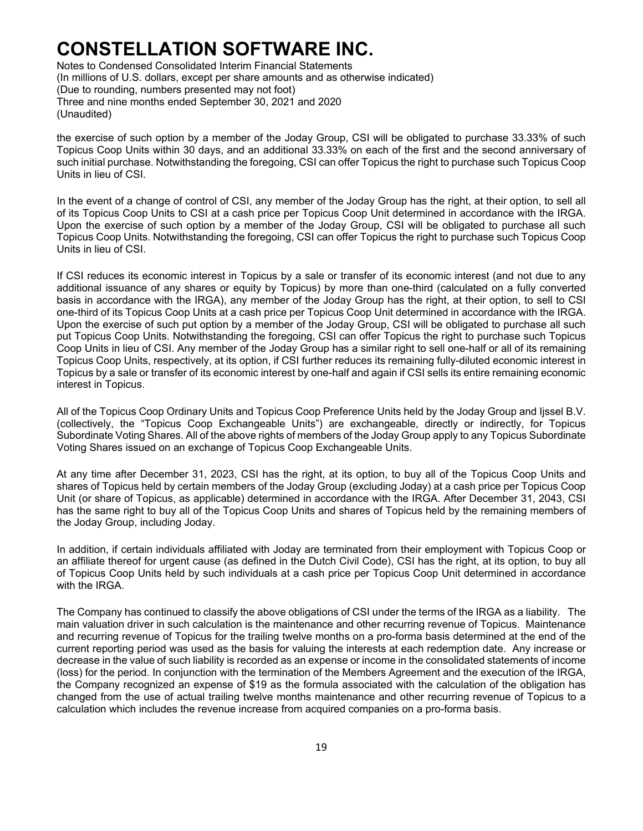Notes to Condensed Consolidated Interim Financial Statements (In millions of U.S. dollars, except per share amounts and as otherwise indicated) (Due to rounding, numbers presented may not foot) Three and nine months ended September 30, 2021 and 2020 (Unaudited)

the exercise of such option by a member of the Joday Group, CSI will be obligated to purchase 33.33% of such Topicus Coop Units within 30 days, and an additional 33.33% on each of the first and the second anniversary of such initial purchase. Notwithstanding the foregoing, CSI can offer Topicus the right to purchase such Topicus Coop Units in lieu of CSI.

In the event of a change of control of CSI, any member of the Joday Group has the right, at their option, to sell all of its Topicus Coop Units to CSI at a cash price per Topicus Coop Unit determined in accordance with the IRGA. Upon the exercise of such option by a member of the Joday Group, CSI will be obligated to purchase all such Topicus Coop Units. Notwithstanding the foregoing, CSI can offer Topicus the right to purchase such Topicus Coop Units in lieu of CSI.

If CSI reduces its economic interest in Topicus by a sale or transfer of its economic interest (and not due to any additional issuance of any shares or equity by Topicus) by more than one-third (calculated on a fully converted basis in accordance with the IRGA), any member of the Joday Group has the right, at their option, to sell to CSI one-third of its Topicus Coop Units at a cash price per Topicus Coop Unit determined in accordance with the IRGA. Upon the exercise of such put option by a member of the Joday Group, CSI will be obligated to purchase all such put Topicus Coop Units. Notwithstanding the foregoing, CSI can offer Topicus the right to purchase such Topicus Coop Units in lieu of CSI. Any member of the Joday Group has a similar right to sell one-half or all of its remaining Topicus Coop Units, respectively, at its option, if CSI further reduces its remaining fully-diluted economic interest in Topicus by a sale or transfer of its economic interest by one-half and again if CSI sells its entire remaining economic interest in Topicus.

All of the Topicus Coop Ordinary Units and Topicus Coop Preference Units held by the Joday Group and Ijssel B.V. (collectively, the "Topicus Coop Exchangeable Units") are exchangeable, directly or indirectly, for Topicus Subordinate Voting Shares. All of the above rights of members of the Joday Group apply to any Topicus Subordinate Voting Shares issued on an exchange of Topicus Coop Exchangeable Units.

At any time after December 31, 2023, CSI has the right, at its option, to buy all of the Topicus Coop Units and shares of Topicus held by certain members of the Joday Group (excluding Joday) at a cash price per Topicus Coop Unit (or share of Topicus, as applicable) determined in accordance with the IRGA. After December 31, 2043, CSI has the same right to buy all of the Topicus Coop Units and shares of Topicus held by the remaining members of the Joday Group, including Joday.

In addition, if certain individuals affiliated with Joday are terminated from their employment with Topicus Coop or an affiliate thereof for urgent cause (as defined in the Dutch Civil Code), CSI has the right, at its option, to buy all of Topicus Coop Units held by such individuals at a cash price per Topicus Coop Unit determined in accordance with the IRGA.

The Company has continued to classify the above obligations of CSI under the terms of the IRGA as a liability. The main valuation driver in such calculation is the maintenance and other recurring revenue of Topicus. Maintenance and recurring revenue of Topicus for the trailing twelve months on a pro-forma basis determined at the end of the current reporting period was used as the basis for valuing the interests at each redemption date. Any increase or decrease in the value of such liability is recorded as an expense or income in the consolidated statements of income (loss) for the period. In conjunction with the termination of the Members Agreement and the execution of the IRGA, the Company recognized an expense of \$19 as the formula associated with the calculation of the obligation has changed from the use of actual trailing twelve months maintenance and other recurring revenue of Topicus to a calculation which includes the revenue increase from acquired companies on a pro-forma basis.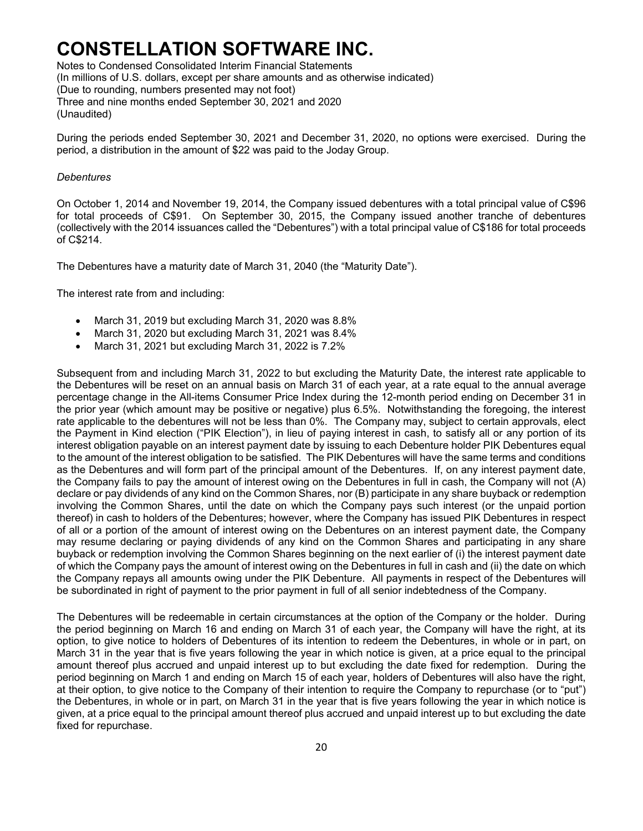Notes to Condensed Consolidated Interim Financial Statements (In millions of U.S. dollars, except per share amounts and as otherwise indicated) (Due to rounding, numbers presented may not foot) Three and nine months ended September 30, 2021 and 2020 (Unaudited)

During the periods ended September 30, 2021 and December 31, 2020, no options were exercised. During the period, a distribution in the amount of \$22 was paid to the Joday Group.

#### *Debentures*

On October 1, 2014 and November 19, 2014, the Company issued debentures with a total principal value of C\$96 for total proceeds of C\$91. On September 30, 2015, the Company issued another tranche of debentures (collectively with the 2014 issuances called the "Debentures") with a total principal value of C\$186 for total proceeds of C\$214.

The Debentures have a maturity date of March 31, 2040 (the "Maturity Date").

The interest rate from and including:

- March 31, 2019 but excluding March 31, 2020 was 8.8%
- March 31, 2020 but excluding March 31, 2021 was 8.4%
- March 31, 2021 but excluding March 31, 2022 is 7.2%

Subsequent from and including March 31, 2022 to but excluding the Maturity Date, the interest rate applicable to the Debentures will be reset on an annual basis on March 31 of each year, at a rate equal to the annual average percentage change in the All-items Consumer Price Index during the 12-month period ending on December 31 in the prior year (which amount may be positive or negative) plus 6.5%. Notwithstanding the foregoing, the interest rate applicable to the debentures will not be less than 0%. The Company may, subject to certain approvals, elect the Payment in Kind election ("PIK Election"), in lieu of paying interest in cash, to satisfy all or any portion of its interest obligation payable on an interest payment date by issuing to each Debenture holder PIK Debentures equal to the amount of the interest obligation to be satisfied. The PIK Debentures will have the same terms and conditions as the Debentures and will form part of the principal amount of the Debentures. If, on any interest payment date, the Company fails to pay the amount of interest owing on the Debentures in full in cash, the Company will not (A) declare or pay dividends of any kind on the Common Shares, nor (B) participate in any share buyback or redemption involving the Common Shares, until the date on which the Company pays such interest (or the unpaid portion thereof) in cash to holders of the Debentures; however, where the Company has issued PIK Debentures in respect of all or a portion of the amount of interest owing on the Debentures on an interest payment date, the Company may resume declaring or paying dividends of any kind on the Common Shares and participating in any share buyback or redemption involving the Common Shares beginning on the next earlier of (i) the interest payment date of which the Company pays the amount of interest owing on the Debentures in full in cash and (ii) the date on which the Company repays all amounts owing under the PIK Debenture. All payments in respect of the Debentures will be subordinated in right of payment to the prior payment in full of all senior indebtedness of the Company.

The Debentures will be redeemable in certain circumstances at the option of the Company or the holder. During the period beginning on March 16 and ending on March 31 of each year, the Company will have the right, at its option, to give notice to holders of Debentures of its intention to redeem the Debentures, in whole or in part, on March 31 in the year that is five years following the year in which notice is given, at a price equal to the principal amount thereof plus accrued and unpaid interest up to but excluding the date fixed for redemption. During the period beginning on March 1 and ending on March 15 of each year, holders of Debentures will also have the right, at their option, to give notice to the Company of their intention to require the Company to repurchase (or to "put") the Debentures, in whole or in part, on March 31 in the year that is five years following the year in which notice is given, at a price equal to the principal amount thereof plus accrued and unpaid interest up to but excluding the date fixed for repurchase.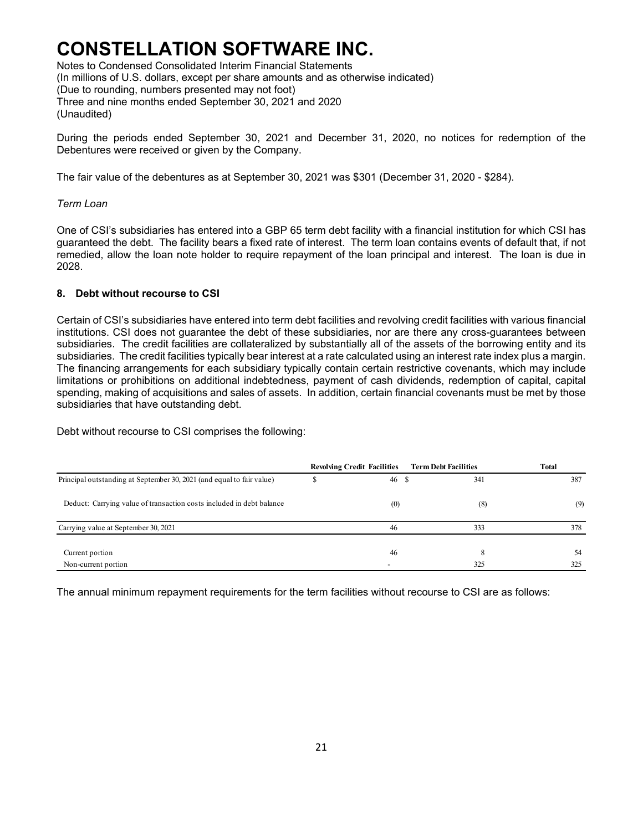Notes to Condensed Consolidated Interim Financial Statements (In millions of U.S. dollars, except per share amounts and as otherwise indicated) (Due to rounding, numbers presented may not foot) Three and nine months ended September 30, 2021 and 2020 (Unaudited)

During the periods ended September 30, 2021 and December 31, 2020, no notices for redemption of the Debentures were received or given by the Company.

The fair value of the debentures as at September 30, 2021 was \$301 (December 31, 2020 - \$284).

### *Term Loan*

One of CSI's subsidiaries has entered into a GBP 65 term debt facility with a financial institution for which CSI has guaranteed the debt. The facility bears a fixed rate of interest. The term loan contains events of default that, if not remedied, allow the loan note holder to require repayment of the loan principal and interest. The loan is due in 2028.

### **8. Debt without recourse to CSI**

Certain of CSI's subsidiaries have entered into term debt facilities and revolving credit facilities with various financial institutions. CSI does not guarantee the debt of these subsidiaries, nor are there any cross-guarantees between subsidiaries. The credit facilities are collateralized by substantially all of the assets of the borrowing entity and its subsidiaries. The credit facilities typically bear interest at a rate calculated using an interest rate index plus a margin. The financing arrangements for each subsidiary typically contain certain restrictive covenants, which may include limitations or prohibitions on additional indebtedness, payment of cash dividends, redemption of capital, capital spending, making of acquisitions and sales of assets. In addition, certain financial covenants must be met by those subsidiaries that have outstanding debt.

Debt without recourse to CSI comprises the following:

|                                                                       | <b>Revolving Credit Facilities</b> | <b>Term Debt Facilities</b> | <b>Total</b> |
|-----------------------------------------------------------------------|------------------------------------|-----------------------------|--------------|
| Principal outstanding at September 30, 2021 (and equal to fair value) | 46 \$                              | 341                         | 387          |
| Deduct: Carrying value of transaction costs included in debt balance  | (0)                                | (8)                         | (9)          |
| Carrying value at September 30, 2021                                  | 46                                 | 333                         | 378          |
| Current portion                                                       | 46                                 | 8                           | 54           |
| Non-current portion                                                   |                                    | 325                         | 325          |

The annual minimum repayment requirements for the term facilities without recourse to CSI are as follows: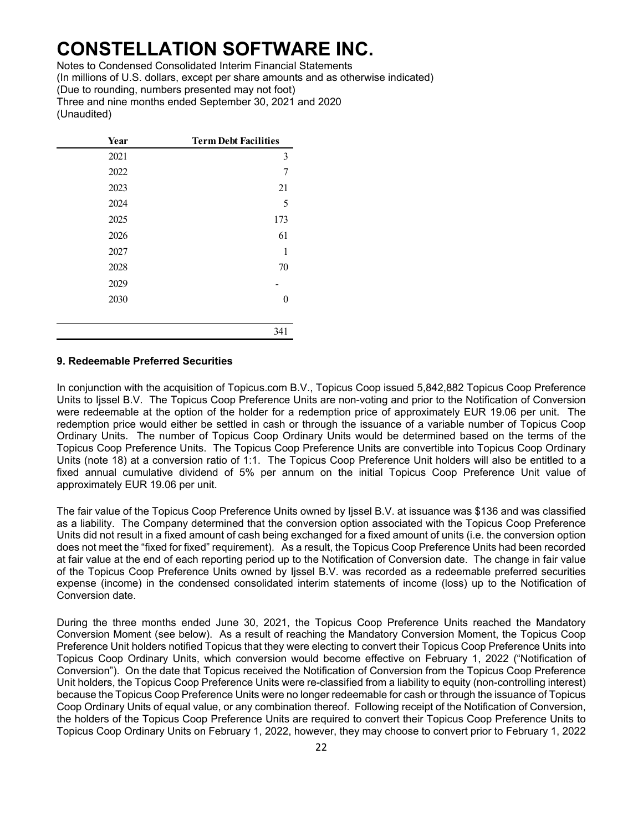Notes to Condensed Consolidated Interim Financial Statements (In millions of U.S. dollars, except per share amounts and as otherwise indicated) (Due to rounding, numbers presented may not foot) Three and nine months ended September 30, 2021 and 2020 (Unaudited)

| Year | <b>Term Debt Facilities</b> |
|------|-----------------------------|
| 2021 | 3                           |
| 2022 | 7                           |
| 2023 | 21                          |
| 2024 | 5                           |
| 2025 | 173                         |
| 2026 | 61                          |
| 2027 | 1                           |
| 2028 | 70                          |
| 2029 |                             |
| 2030 | 0                           |
|      |                             |
|      | 341                         |

#### **9. Redeemable Preferred Securities**

In conjunction with the acquisition of Topicus.com B.V., Topicus Coop issued 5,842,882 Topicus Coop Preference Units to Ijssel B.V. The Topicus Coop Preference Units are non-voting and prior to the Notification of Conversion were redeemable at the option of the holder for a redemption price of approximately EUR 19.06 per unit. The redemption price would either be settled in cash or through the issuance of a variable number of Topicus Coop Ordinary Units. The number of Topicus Coop Ordinary Units would be determined based on the terms of the Topicus Coop Preference Units. The Topicus Coop Preference Units are convertible into Topicus Coop Ordinary Units (note 18) at a conversion ratio of 1:1. The Topicus Coop Preference Unit holders will also be entitled to a fixed annual cumulative dividend of 5% per annum on the initial Topicus Coop Preference Unit value of approximately EUR 19.06 per unit.

The fair value of the Topicus Coop Preference Units owned by Ijssel B.V. at issuance was \$136 and was classified as a liability. The Company determined that the conversion option associated with the Topicus Coop Preference Units did not result in a fixed amount of cash being exchanged for a fixed amount of units (i.e. the conversion option does not meet the "fixed for fixed" requirement). As a result, the Topicus Coop Preference Units had been recorded at fair value at the end of each reporting period up to the Notification of Conversion date. The change in fair value of the Topicus Coop Preference Units owned by Ijssel B.V. was recorded as a redeemable preferred securities expense (income) in the condensed consolidated interim statements of income (loss) up to the Notification of Conversion date.

During the three months ended June 30, 2021, the Topicus Coop Preference Units reached the Mandatory Conversion Moment (see below). As a result of reaching the Mandatory Conversion Moment, the Topicus Coop Preference Unit holders notified Topicus that they were electing to convert their Topicus Coop Preference Units into Topicus Coop Ordinary Units, which conversion would become effective on February 1, 2022 ("Notification of Conversion"). On the date that Topicus received the Notification of Conversion from the Topicus Coop Preference Unit holders, the Topicus Coop Preference Units were re-classified from a liability to equity (non-controlling interest) because the Topicus Coop Preference Units were no longer redeemable for cash or through the issuance of Topicus Coop Ordinary Units of equal value, or any combination thereof. Following receipt of the Notification of Conversion, the holders of the Topicus Coop Preference Units are required to convert their Topicus Coop Preference Units to Topicus Coop Ordinary Units on February 1, 2022, however, they may choose to convert prior to February 1, 2022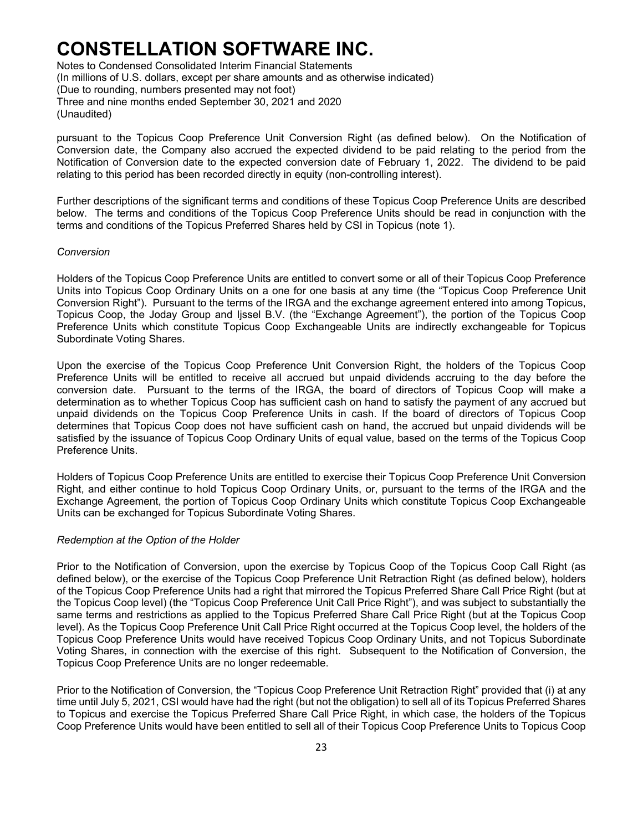Notes to Condensed Consolidated Interim Financial Statements (In millions of U.S. dollars, except per share amounts and as otherwise indicated) (Due to rounding, numbers presented may not foot) Three and nine months ended September 30, 2021 and 2020 (Unaudited)

pursuant to the Topicus Coop Preference Unit Conversion Right (as defined below). On the Notification of Conversion date, the Company also accrued the expected dividend to be paid relating to the period from the Notification of Conversion date to the expected conversion date of February 1, 2022. The dividend to be paid relating to this period has been recorded directly in equity (non-controlling interest).

Further descriptions of the significant terms and conditions of these Topicus Coop Preference Units are described below. The terms and conditions of the Topicus Coop Preference Units should be read in conjunction with the terms and conditions of the Topicus Preferred Shares held by CSI in Topicus (note 1).

#### *Conversion*

Holders of the Topicus Coop Preference Units are entitled to convert some or all of their Topicus Coop Preference Units into Topicus Coop Ordinary Units on a one for one basis at any time (the "Topicus Coop Preference Unit Conversion Right"). Pursuant to the terms of the IRGA and the exchange agreement entered into among Topicus, Topicus Coop, the Joday Group and Ijssel B.V. (the "Exchange Agreement"), the portion of the Topicus Coop Preference Units which constitute Topicus Coop Exchangeable Units are indirectly exchangeable for Topicus Subordinate Voting Shares.

Upon the exercise of the Topicus Coop Preference Unit Conversion Right, the holders of the Topicus Coop Preference Units will be entitled to receive all accrued but unpaid dividends accruing to the day before the conversion date. Pursuant to the terms of the IRGA, the board of directors of Topicus Coop will make a determination as to whether Topicus Coop has sufficient cash on hand to satisfy the payment of any accrued but unpaid dividends on the Topicus Coop Preference Units in cash. If the board of directors of Topicus Coop determines that Topicus Coop does not have sufficient cash on hand, the accrued but unpaid dividends will be satisfied by the issuance of Topicus Coop Ordinary Units of equal value, based on the terms of the Topicus Coop Preference Units.

Holders of Topicus Coop Preference Units are entitled to exercise their Topicus Coop Preference Unit Conversion Right, and either continue to hold Topicus Coop Ordinary Units, or, pursuant to the terms of the IRGA and the Exchange Agreement, the portion of Topicus Coop Ordinary Units which constitute Topicus Coop Exchangeable Units can be exchanged for Topicus Subordinate Voting Shares.

#### *Redemption at the Option of the Holder*

Prior to the Notification of Conversion, upon the exercise by Topicus Coop of the Topicus Coop Call Right (as defined below), or the exercise of the Topicus Coop Preference Unit Retraction Right (as defined below), holders of the Topicus Coop Preference Units had a right that mirrored the Topicus Preferred Share Call Price Right (but at the Topicus Coop level) (the "Topicus Coop Preference Unit Call Price Right"), and was subject to substantially the same terms and restrictions as applied to the Topicus Preferred Share Call Price Right (but at the Topicus Coop level). As the Topicus Coop Preference Unit Call Price Right occurred at the Topicus Coop level, the holders of the Topicus Coop Preference Units would have received Topicus Coop Ordinary Units, and not Topicus Subordinate Voting Shares, in connection with the exercise of this right. Subsequent to the Notification of Conversion, the Topicus Coop Preference Units are no longer redeemable.

Prior to the Notification of Conversion, the "Topicus Coop Preference Unit Retraction Right" provided that (i) at any time until July 5, 2021, CSI would have had the right (but not the obligation) to sell all of its Topicus Preferred Shares to Topicus and exercise the Topicus Preferred Share Call Price Right, in which case, the holders of the Topicus Coop Preference Units would have been entitled to sell all of their Topicus Coop Preference Units to Topicus Coop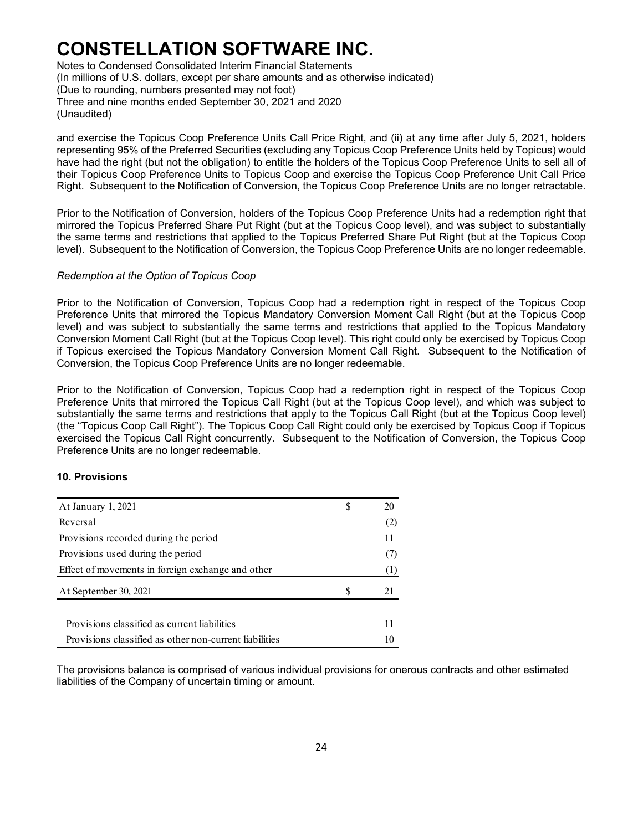Notes to Condensed Consolidated Interim Financial Statements (In millions of U.S. dollars, except per share amounts and as otherwise indicated) (Due to rounding, numbers presented may not foot) Three and nine months ended September 30, 2021 and 2020 (Unaudited)

and exercise the Topicus Coop Preference Units Call Price Right, and (ii) at any time after July 5, 2021, holders representing 95% of the Preferred Securities (excluding any Topicus Coop Preference Units held by Topicus) would have had the right (but not the obligation) to entitle the holders of the Topicus Coop Preference Units to sell all of their Topicus Coop Preference Units to Topicus Coop and exercise the Topicus Coop Preference Unit Call Price Right. Subsequent to the Notification of Conversion, the Topicus Coop Preference Units are no longer retractable.

Prior to the Notification of Conversion, holders of the Topicus Coop Preference Units had a redemption right that mirrored the Topicus Preferred Share Put Right (but at the Topicus Coop level), and was subject to substantially the same terms and restrictions that applied to the Topicus Preferred Share Put Right (but at the Topicus Coop level). Subsequent to the Notification of Conversion, the Topicus Coop Preference Units are no longer redeemable.

### *Redemption at the Option of Topicus Coop*

Prior to the Notification of Conversion, Topicus Coop had a redemption right in respect of the Topicus Coop Preference Units that mirrored the Topicus Mandatory Conversion Moment Call Right (but at the Topicus Coop level) and was subject to substantially the same terms and restrictions that applied to the Topicus Mandatory Conversion Moment Call Right (but at the Topicus Coop level). This right could only be exercised by Topicus Coop if Topicus exercised the Topicus Mandatory Conversion Moment Call Right. Subsequent to the Notification of Conversion, the Topicus Coop Preference Units are no longer redeemable.

Prior to the Notification of Conversion, Topicus Coop had a redemption right in respect of the Topicus Coop Preference Units that mirrored the Topicus Call Right (but at the Topicus Coop level), and which was subject to substantially the same terms and restrictions that apply to the Topicus Call Right (but at the Topicus Coop level) (the "Topicus Coop Call Right"). The Topicus Coop Call Right could only be exercised by Topicus Coop if Topicus exercised the Topicus Call Right concurrently. Subsequent to the Notification of Conversion, the Topicus Coop Preference Units are no longer redeemable.

### **10. Provisions**

| At January 1, 2021                                     |   | 20               |
|--------------------------------------------------------|---|------------------|
| Reversal                                               |   | (2)              |
| Provisions recorded during the period                  |   | 11               |
| Provisions used during the period                      |   | (7)              |
| Effect of movements in foreign exchange and other      |   | $\left(1\right)$ |
| At September 30, 2021                                  | S |                  |
|                                                        |   |                  |
| Provisions classified as current liabilities           |   |                  |
| Provisions classified as other non-current liabilities |   |                  |

The provisions balance is comprised of various individual provisions for onerous contracts and other estimated liabilities of the Company of uncertain timing or amount.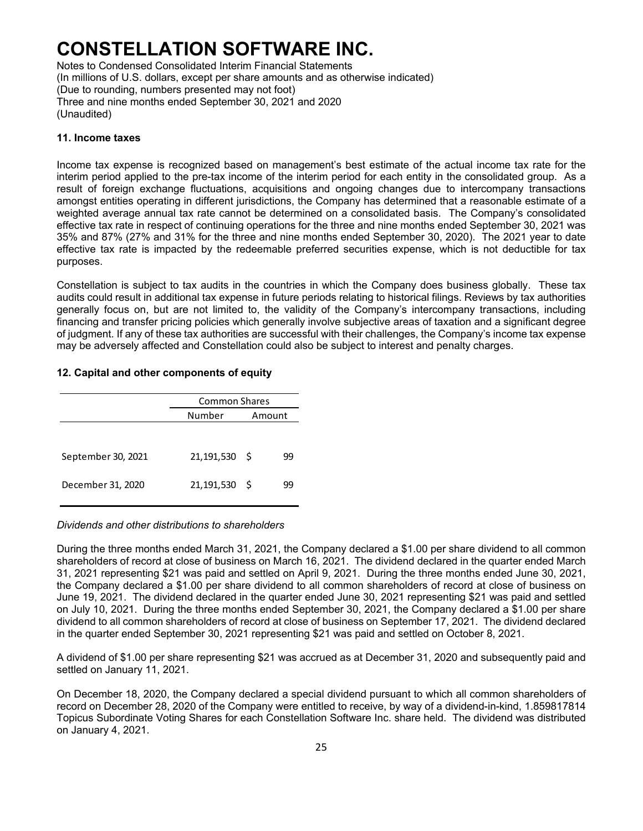Notes to Condensed Consolidated Interim Financial Statements (In millions of U.S. dollars, except per share amounts and as otherwise indicated) (Due to rounding, numbers presented may not foot) Three and nine months ended September 30, 2021 and 2020 (Unaudited)

### **11. Income taxes**

Income tax expense is recognized based on management's best estimate of the actual income tax rate for the interim period applied to the pre-tax income of the interim period for each entity in the consolidated group. As a result of foreign exchange fluctuations, acquisitions and ongoing changes due to intercompany transactions amongst entities operating in different jurisdictions, the Company has determined that a reasonable estimate of a weighted average annual tax rate cannot be determined on a consolidated basis. The Company's consolidated effective tax rate in respect of continuing operations for the three and nine months ended September 30, 2021 was 35% and 87% (27% and 31% for the three and nine months ended September 30, 2020). The 2021 year to date effective tax rate is impacted by the redeemable preferred securities expense, which is not deductible for tax purposes.

Constellation is subject to tax audits in the countries in which the Company does business globally. These tax audits could result in additional tax expense in future periods relating to historical filings. Reviews by tax authorities generally focus on, but are not limited to, the validity of the Company's intercompany transactions, including financing and transfer pricing policies which generally involve subjective areas of taxation and a significant degree of judgment. If any of these tax authorities are successful with their challenges, the Company's income tax expense may be adversely affected and Constellation could also be subject to interest and penalty charges.

### **12. Capital and other components of equity**

|                    | <b>Common Shares</b> |     |        |  |  |  |  |
|--------------------|----------------------|-----|--------|--|--|--|--|
|                    | Number               |     | Amount |  |  |  |  |
|                    |                      |     |        |  |  |  |  |
| September 30, 2021 | 21,191,530           | - S | 99     |  |  |  |  |
| December 31, 2020  | 21,191,530           | - S | 99     |  |  |  |  |

### *Dividends and other distributions to shareholders*

During the three months ended March 31, 2021, the Company declared a \$1.00 per share dividend to all common shareholders of record at close of business on March 16, 2021. The dividend declared in the quarter ended March 31, 2021 representing \$21 was paid and settled on April 9, 2021. During the three months ended June 30, 2021, the Company declared a \$1.00 per share dividend to all common shareholders of record at close of business on June 19, 2021. The dividend declared in the quarter ended June 30, 2021 representing \$21 was paid and settled on July 10, 2021. During the three months ended September 30, 2021, the Company declared a \$1.00 per share dividend to all common shareholders of record at close of business on September 17, 2021. The dividend declared in the quarter ended September 30, 2021 representing \$21 was paid and settled on October 8, 2021.

A dividend of \$1.00 per share representing \$21 was accrued as at December 31, 2020 and subsequently paid and settled on January 11, 2021.

On December 18, 2020, the Company declared a special dividend pursuant to which all common shareholders of record on December 28, 2020 of the Company were entitled to receive, by way of a dividend-in-kind, 1.859817814 Topicus Subordinate Voting Shares for each Constellation Software Inc. share held. The dividend was distributed on January 4, 2021.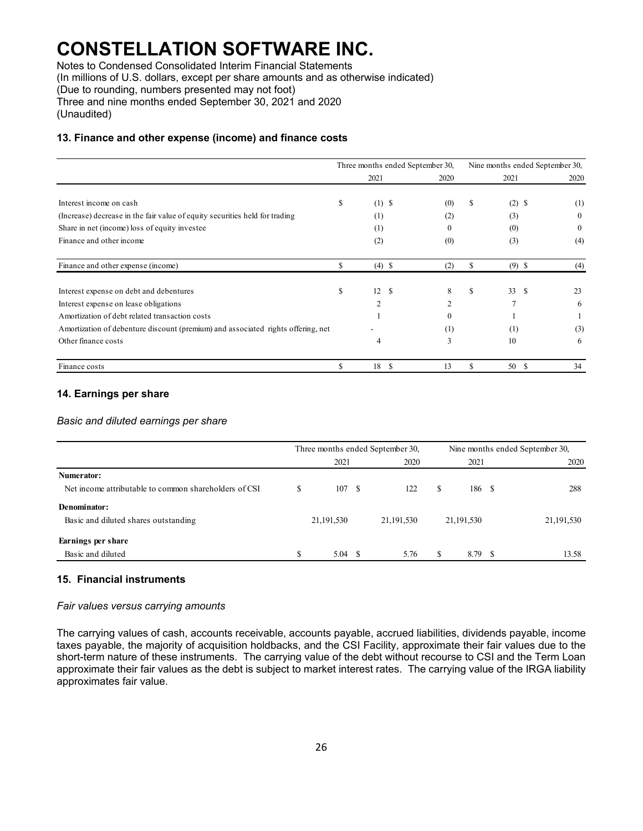Notes to Condensed Consolidated Interim Financial Statements

(In millions of U.S. dollars, except per share amounts and as otherwise indicated)

(Due to rounding, numbers presented may not foot)

Three and nine months ended September 30, 2021 and 2020 (Unaudited)

### **13. Finance and other expense (income) and finance costs**

|                                                                                  | Three months ended September 30, |                     | Nine months ended September 30, |    |           |          |
|----------------------------------------------------------------------------------|----------------------------------|---------------------|---------------------------------|----|-----------|----------|
|                                                                                  |                                  | 2021                | 2020                            |    | 2021      | 2020     |
| Interest income on cash                                                          | \$                               | $(1)$ \$            | (0)                             | \$ | (2)<br>\$ | (1)      |
| (Increase) decrease in the fair value of equity securities held for trading      |                                  | (1)                 | (2)                             |    | (3)       | $\theta$ |
| Share in net (income) loss of equity investee                                    |                                  | (1)                 | $\Omega$                        |    | (0)       | $\theta$ |
| Finance and other income                                                         |                                  | (2)                 | (0)                             |    | (3)       | (4)      |
| Finance and other expense (income)                                               | \$                               | $(4)$ \$            | (2)                             | \$ | $(9)$ \$  | (4)      |
| Interest expense on debt and debentures                                          | \$                               | 12<br><sup>\$</sup> | 8                               | S  | 33<br>-S  | 23       |
| Interest expense on lease obligations                                            |                                  | $\overline{c}$      | $\overline{2}$                  |    | 7         | 6        |
| Amortization of debt related transaction costs                                   |                                  |                     | $\Omega$                        |    |           |          |
| Amortization of debenture discount (premium) and associated rights offering, net |                                  |                     | (1)                             |    | (1)       | (3)      |
| Other finance costs                                                              |                                  | 4                   | 3                               |    | 10        | 6        |
| Finance costs                                                                    | S                                | 18<br>- \$          | 13                              | S  | 50<br>-S  | 34       |

### **14. Earnings per share**

### *Basic and diluted earnings per share*

|                                                       |    | Three months ended September 30, |     |            |    | Nine months ended September 30, |     |            |  |  |
|-------------------------------------------------------|----|----------------------------------|-----|------------|----|---------------------------------|-----|------------|--|--|
|                                                       |    | 2021                             |     | 2020       |    | 2021                            |     | 2020       |  |  |
| Numerator:                                            |    |                                  |     |            |    |                                 |     |            |  |  |
| Net income attributable to common shareholders of CSI | \$ | 107                              | - S | 122        | S  | 186 S                           |     | 288        |  |  |
| Denominator:                                          |    |                                  |     |            |    |                                 |     |            |  |  |
| Basic and diluted shares outstanding                  |    | 21,191,530                       |     | 21,191,530 |    | 21, 191, 530                    |     | 21,191,530 |  |  |
| Earnings per share                                    |    |                                  |     |            |    |                                 |     |            |  |  |
| Basic and diluted                                     | S  | 5.04                             | - S | 5.76       | \$ | 8.79                            | - 8 | 13.58      |  |  |

### **15. Financial instruments**

#### *Fair values versus carrying amounts*

The carrying values of cash, accounts receivable, accounts payable, accrued liabilities, dividends payable, income taxes payable, the majority of acquisition holdbacks, and the CSI Facility, approximate their fair values due to the short-term nature of these instruments. The carrying value of the debt without recourse to CSI and the Term Loan approximate their fair values as the debt is subject to market interest rates. The carrying value of the IRGA liability approximates fair value.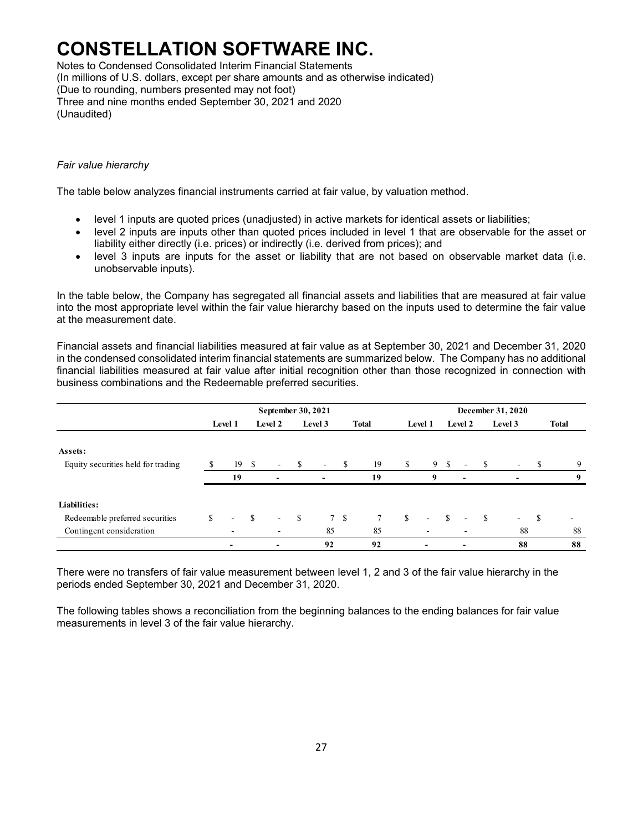Notes to Condensed Consolidated Interim Financial Statements (In millions of U.S. dollars, except per share amounts and as otherwise indicated) (Due to rounding, numbers presented may not foot) Three and nine months ended September 30, 2021 and 2020 (Unaudited)

### *Fair value hierarchy*

The table below analyzes financial instruments carried at fair value, by valuation method.

- level 1 inputs are quoted prices (unadjusted) in active markets for identical assets or liabilities;
- level 2 inputs are inputs other than quoted prices included in level 1 that are observable for the asset or liability either directly (i.e. prices) or indirectly (i.e. derived from prices); and
- level 3 inputs are inputs for the asset or liability that are not based on observable market data (i.e. unobservable inputs).

In the table below, the Company has segregated all financial assets and liabilities that are measured at fair value into the most appropriate level within the fair value hierarchy based on the inputs used to determine the fair value at the measurement date.

Financial assets and financial liabilities measured at fair value as at September 30, 2021 and December 31, 2020 in the condensed consolidated interim financial statements are summarized below. The Company has no additional financial liabilities measured at fair value after initial recognition other than those recognized in connection with business combinations and the Redeemable preferred securities.

|                                    |   | September 30, 2021       |      |                          |              |         | December 31, 2020 |              |    |                          |               |                |              |         |      |                |
|------------------------------------|---|--------------------------|------|--------------------------|--------------|---------|-------------------|--------------|----|--------------------------|---------------|----------------|--------------|---------|------|----------------|
|                                    |   | Level 1                  |      | Level 2                  |              | Level 3 |                   | <b>Total</b> |    | Level 1                  |               | Level 2        |              | Level 3 |      | <b>Total</b>   |
| Assets:                            |   |                          |      |                          |              |         |                   |              |    |                          |               |                |              |         |      |                |
| Equity securities held for trading |   | 19                       | - \$ | $\sim$                   | -S           | $\sim$  | S                 | 19           | S. |                          | 9 \$          | ٠              | -S           |         | S    | 9              |
|                                    |   | 19                       |      | $\overline{\phantom{a}}$ |              |         |                   | 19           |    | 9                        |               | $\blacksquare$ |              |         |      | 9              |
| Liabilities:                       |   |                          |      |                          |              |         |                   |              |    |                          |               |                |              |         |      |                |
| Redeemable preferred securities    | S |                          | S    | $\sim$                   | $\mathbb{S}$ |         | 7S                |              | \$ | $\overline{\phantom{a}}$ | <sup>\$</sup> | ٠              | <sup>S</sup> | $\sim$  | - \$ | $\overline{a}$ |
| Contingent consideration           |   |                          |      | -                        |              | 85      |                   | 85           |    | $\overline{\phantom{a}}$ |               |                |              | 88      |      | 88             |
|                                    |   | $\overline{\phantom{a}}$ |      |                          |              | 92      |                   | 92           |    |                          |               | ٠              |              | 88      |      | 88             |

There were no transfers of fair value measurement between level 1, 2 and 3 of the fair value hierarchy in the periods ended September 30, 2021 and December 31, 2020.

The following tables shows a reconciliation from the beginning balances to the ending balances for fair value measurements in level 3 of the fair value hierarchy.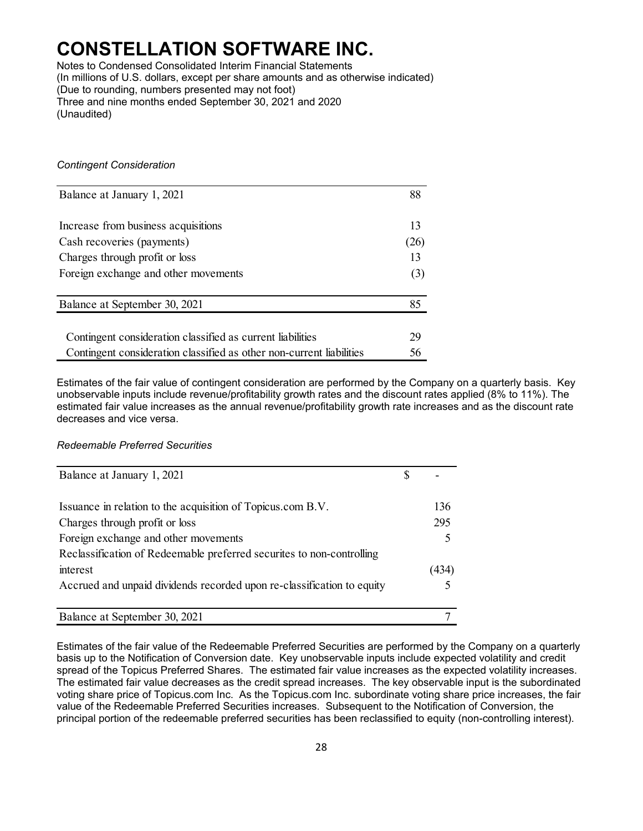Notes to Condensed Consolidated Interim Financial Statements (In millions of U.S. dollars, except per share amounts and as otherwise indicated) (Due to rounding, numbers presented may not foot) Three and nine months ended September 30, 2021 and 2020 (Unaudited)

### *Contingent Consideration*

| Balance at January 1, 2021                                           | 88   |
|----------------------------------------------------------------------|------|
| Increase from business acquisitions                                  | 13   |
| Cash recoveries (payments)                                           | (26) |
| Charges through profit or loss                                       | 13   |
| Foreign exchange and other movements                                 | (3)  |
| Balance at September 30, 2021                                        | 85   |
| Contingent consideration classified as current liabilities           | 29   |
| Contingent consideration classified as other non-current liabilities | 56   |

Estimates of the fair value of contingent consideration are performed by the Company on a quarterly basis. Key unobservable inputs include revenue/profitability growth rates and the discount rates applied (8% to 11%). The estimated fair value increases as the annual revenue/profitability growth rate increases and as the discount rate decreases and vice versa.

### *Redeemable Preferred Securities*

| Balance at January 1, 2021                                             |       |
|------------------------------------------------------------------------|-------|
| Issuance in relation to the acquisition of Topicus.com B.V.            | 136   |
| Charges through profit or loss                                         | 295   |
| Foreign exchange and other movements                                   |       |
| Reclassification of Redeemable preferred securites to non-controlling  |       |
| interest                                                               | (434) |
| Accrued and unpaid dividends recorded upon re-classification to equity |       |
|                                                                        |       |
| Balance at September 30, 2021                                          |       |

Estimates of the fair value of the Redeemable Preferred Securities are performed by the Company on a quarterly basis up to the Notification of Conversion date. Key unobservable inputs include expected volatility and credit spread of the Topicus Preferred Shares. The estimated fair value increases as the expected volatility increases. The estimated fair value decreases as the credit spread increases. The key observable input is the subordinated voting share price of Topicus.com Inc. As the Topicus.com Inc. subordinate voting share price increases, the fair value of the Redeemable Preferred Securities increases. Subsequent to the Notification of Conversion, the principal portion of the redeemable preferred securities has been reclassified to equity (non-controlling interest).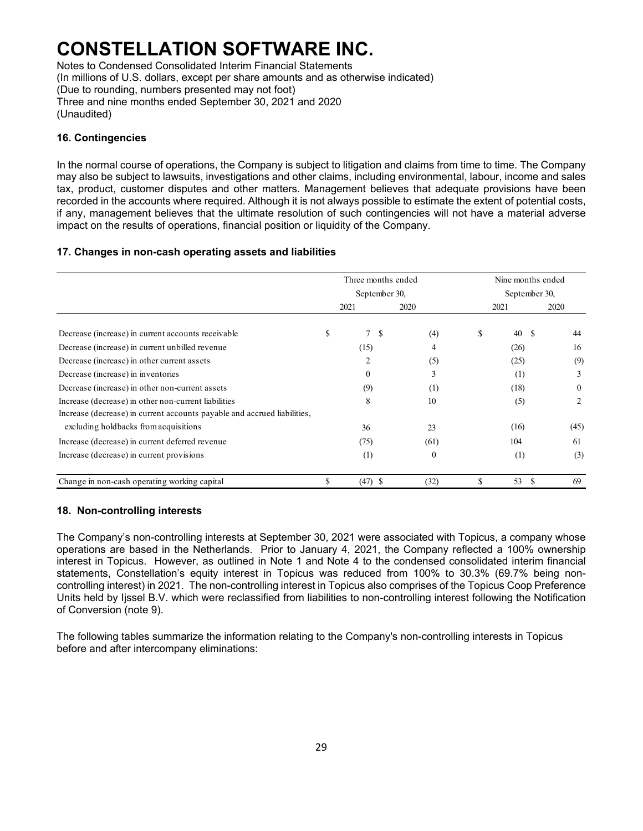Notes to Condensed Consolidated Interim Financial Statements (In millions of U.S. dollars, except per share amounts and as otherwise indicated) (Due to rounding, numbers presented may not foot) Three and nine months ended September 30, 2021 and 2020 (Unaudited)

### **16. Contingencies**

In the normal course of operations, the Company is subject to litigation and claims from time to time. The Company may also be subject to lawsuits, investigations and other claims, including environmental, labour, income and sales tax, product, customer disputes and other matters. Management believes that adequate provisions have been recorded in the accounts where required. Although it is not always possible to estimate the extent of potential costs, if any, management believes that the ultimate resolution of such contingencies will not have a material adverse impact on the results of operations, financial position or liquidity of the Company.

### **17. Changes in non-cash operating assets and liabilities**

|                                                                          | Three months ended<br>September 30, |           |  |          |    | Nine months ended |              |  |  |  |  |  |
|--------------------------------------------------------------------------|-------------------------------------|-----------|--|----------|----|-------------------|--------------|--|--|--|--|--|
|                                                                          |                                     |           |  |          |    | September 30,     |              |  |  |  |  |  |
|                                                                          |                                     | 2021      |  | 2020     |    | 2021              | 2020         |  |  |  |  |  |
| Decrease (increase) in current accounts receivable                       | \$                                  | 7S        |  | (4)      | \$ | 40                | -S<br>44     |  |  |  |  |  |
| Decrease (increase) in current unbilled revenue                          |                                     | (15)      |  | 4        |    | (26)              | 16           |  |  |  |  |  |
| Decrease (increase) in other current assets                              |                                     | 2         |  | (5)      |    | (25)              | (9)          |  |  |  |  |  |
| Decrease (increase) in inventories                                       |                                     | $\Omega$  |  | 3        |    | (1)               | 3            |  |  |  |  |  |
| Decrease (increase) in other non-current assets                          |                                     | (9)       |  | (1)      |    | (18)              | $\mathbf{0}$ |  |  |  |  |  |
| Increase (decrease) in other non-current liabilities                     |                                     | 8         |  | 10       |    | (5)               | 2            |  |  |  |  |  |
| Increase (decrease) in current accounts payable and accrued liabilities, |                                     |           |  |          |    |                   |              |  |  |  |  |  |
| excluding holdbacks from acquisitions                                    |                                     | 36        |  | 23       |    | (16)              | (45)         |  |  |  |  |  |
| Increase (decrease) in current deferred revenue                          |                                     | (75)      |  | (61)     |    | 104               | 61           |  |  |  |  |  |
| Increase (decrease) in current provisions                                |                                     | (1)       |  | $\Omega$ |    | (1)               | (3)          |  |  |  |  |  |
| Change in non-cash operating working capital                             | \$                                  | $(47)$ \$ |  | (32)     | \$ | 53 \$             | 69           |  |  |  |  |  |

#### **18. Non-controlling interests**

The Company's non-controlling interests at September 30, 2021 were associated with Topicus, a company whose operations are based in the Netherlands. Prior to January 4, 2021, the Company reflected a 100% ownership interest in Topicus. However, as outlined in Note 1 and Note 4 to the condensed consolidated interim financial statements, Constellation's equity interest in Topicus was reduced from 100% to 30.3% (69.7% being noncontrolling interest) in 2021. The non-controlling interest in Topicus also comprises of the Topicus Coop Preference Units held by Ijssel B.V. which were reclassified from liabilities to non-controlling interest following the Notification of Conversion (note 9).

The following tables summarize the information relating to the Company's non-controlling interests in Topicus before and after intercompany eliminations: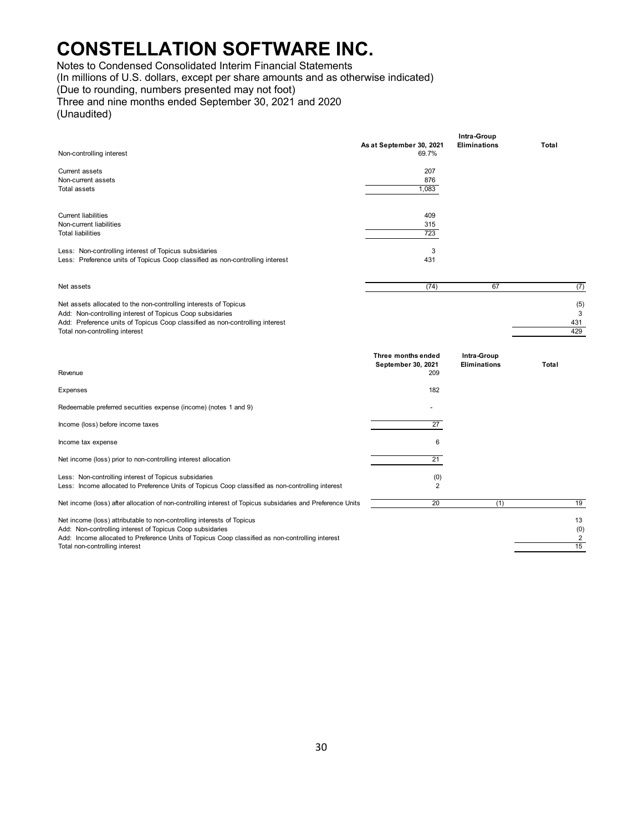Notes to Condensed Consolidated Interim Financial Statements

(In millions of U.S. dollars, except per share amounts and as otherwise indicated)

(Due to rounding, numbers presented may not foot)

Three and nine months ended September 30, 2021 and 2020 (Unaudited)

|                                                                                                                                                                                                                                                 |                                                 | Intra-Group                 |                        |
|-------------------------------------------------------------------------------------------------------------------------------------------------------------------------------------------------------------------------------------------------|-------------------------------------------------|-----------------------------|------------------------|
| Non-controlling interest                                                                                                                                                                                                                        | As at September 30, 2021<br>69.7%               | <b>Eliminations</b>         | Total                  |
| Current assets<br>Non-current assets<br><b>Total assets</b>                                                                                                                                                                                     | 207<br>876<br>1,083                             |                             |                        |
| <b>Current liabilities</b><br>Non-current liabilities<br><b>Total liabilities</b>                                                                                                                                                               | 409<br>315<br>723                               |                             |                        |
| Less: Non-controlling interest of Topicus subsidaries<br>Less: Preference units of Topicus Coop classified as non-controlling interest                                                                                                          | 3<br>431                                        |                             |                        |
| Net assets                                                                                                                                                                                                                                      | (74)                                            | 67                          | (7)                    |
| Net assets allocated to the non-controlling interests of Topicus<br>Add: Non-controlling interest of Topicus Coop subsidaries<br>Add: Preference units of Topicus Coop classified as non-controlling interest<br>Total non-controlling interest |                                                 |                             | (5)<br>3<br>431<br>429 |
|                                                                                                                                                                                                                                                 |                                                 |                             |                        |
| Revenue                                                                                                                                                                                                                                         | Three months ended<br>September 30, 2021<br>209 | Intra-Group<br>Eliminations | Total                  |
| Expenses                                                                                                                                                                                                                                        | 182                                             |                             |                        |
| Redeemable preferred securities expense (income) (notes 1 and 9)                                                                                                                                                                                |                                                 |                             |                        |
| Income (loss) before income taxes                                                                                                                                                                                                               | 27                                              |                             |                        |
| Income tax expense                                                                                                                                                                                                                              | 6                                               |                             |                        |
| Net income (loss) prior to non-controlling interest allocation                                                                                                                                                                                  | 21                                              |                             |                        |
| Less: Non-controlling interest of Topicus subsidaries<br>Less: Income allocated to Preference Units of Topicus Coop classified as non-controlling interest                                                                                      | (0)<br>2                                        |                             |                        |
| Net income (loss) after allocation of non-controlling interest of Topicus subsidaries and Preference Units                                                                                                                                      | 20                                              | (1)                         | 19                     |